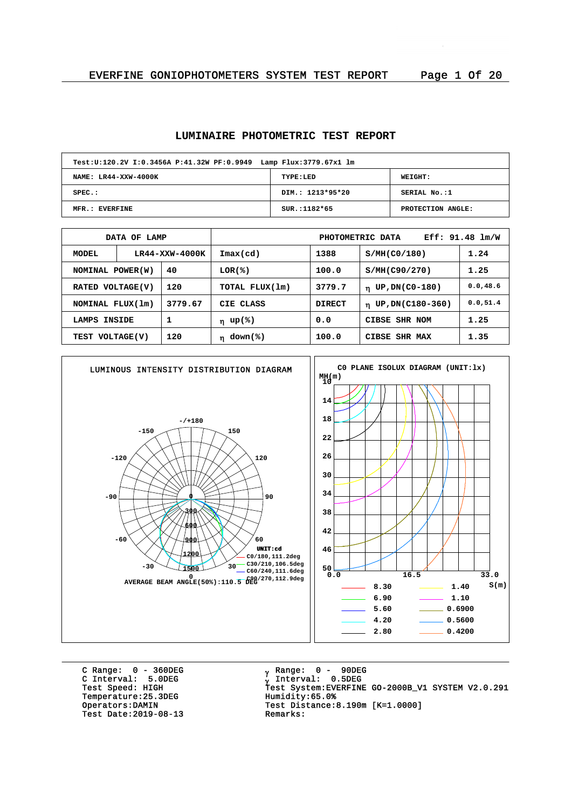#### **LUMINAIRE PHOTOMETRIC TEST REPORT**

| Test: U:120.2V I:0.3456A P:41.32W PF:0.9949 Lamp Flux: 3779.67x1 lm |                  |                   |  |  |  |  |  |  |  |
|---------------------------------------------------------------------|------------------|-------------------|--|--|--|--|--|--|--|
| NAME: LR44-XXW-4000K                                                | TYPE:LED         | WEIGHT:           |  |  |  |  |  |  |  |
| $SPEC.$ :                                                           | DIM.: 1213*95*20 | SERIAL No.:1      |  |  |  |  |  |  |  |
| MFR.: EVERFINE                                                      | $SUR.:1182*65$   | PROTECTION ANGLE: |  |  |  |  |  |  |  |

| DATA OF LAMP                |                |                | Eff: $91.48$ $lm/W$<br>PHOTOMETRIC DATA |                               |                         |           |  |  |
|-----------------------------|----------------|----------------|-----------------------------------------|-------------------------------|-------------------------|-----------|--|--|
| <b>MODEL</b>                | LR44-XXW-4000K |                | $\texttt{Imax}(\text{cd})$              | 1388                          | S/MH(C0/180)            | 1.24      |  |  |
| 40<br>NOMINAL POWER(W)      |                | LOR(%)         | 100.0                                   | S/MH(C90/270)                 | 1.25                    |           |  |  |
| 120<br>RATED VOLTAGE(V)     |                | TOTAL FLUX(1m) | 3779.7                                  | UP, DN(C0-180)<br>$\mathbf n$ | 0.0, 48.6               |           |  |  |
| 3779.67<br>NOMINAL FLUX(1m) |                |                | CIE CLASS                               | <b>DIRECT</b>                 | $\eta$ UP, DN(C180-360) | 0.0, 51.4 |  |  |
| 1<br>INSIDE<br>LAMPS        |                | η up(%)        | 0.0<br>CIBSE SHR NOM                    |                               | 1.25                    |           |  |  |
| TEST VOLTAGE(V)             |                | 120            | down(%)<br>$\mathbf n$                  | 100.0                         | CIBSE SHR MAX           | 1.35      |  |  |



C Range: 0 - 360DEG C Interval: 5.0DEG Temperature: 25.3DEG<br>Operators: DAMIN Test Date:  $2019-08-13$ 

<sub>v</sub> Range: 0 – 90DEG y Range: 0 – 90DE<br><sub>V</sub> Interval: 0.5DEG University<br>Test Speed: HIGH Test System:EVERFINE GO-2000B\_V1 SYSTEM V2.0.291<br>Temperature:25.3DEG Humidity:65.0% Test Distance:8.190m [K=1.0000]<br>Remarks: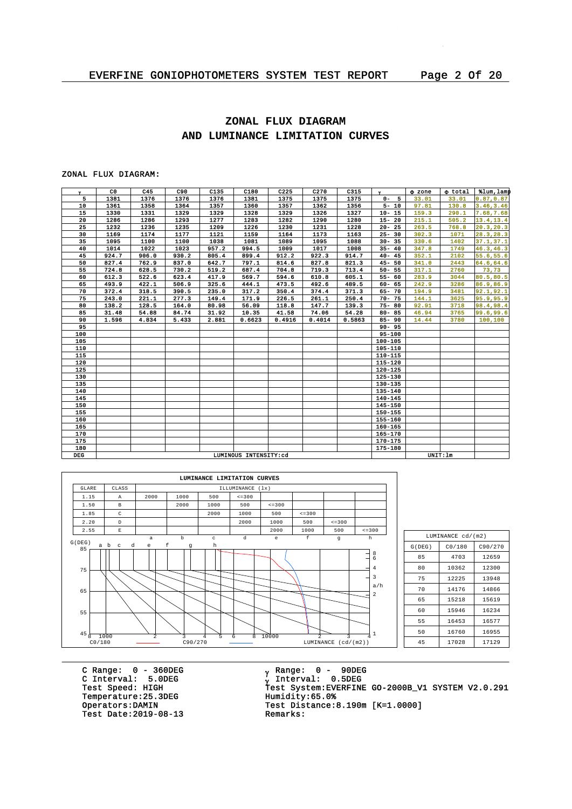# **ZONAL FLUX DIAGRAM AND LUMINANCE LIMITATION CURVES**

### ZONAL FLUX DIAGRAM:

| $\mathbf{v}$ | C0    | C45   | C90   | C135  | C180                  | C225   | C270   | C315   | $\mathbf{v}$ | <b>O</b> zone | o total  | tlum, lamp |
|--------------|-------|-------|-------|-------|-----------------------|--------|--------|--------|--------------|---------------|----------|------------|
| 5            | 1381  | 1376  | 1376  | 1376  | 1381                  | 1375   | 1375   | 1375   | $0 - 5$      | 33.01         | 33.01    | 0.87, 0.87 |
| 10           | 1361  | 1358  | 1364  | 1357  | 1360                  | 1357   | 1362   | 1356   | $5 - 10$     | 97.81         | 130.8    | 3.46, 3.46 |
| 15           | 1330  | 1331  | 1329  | 1329  | 1328                  | 1329   | 1326   | 1327   | $10 - 15$    | 159.3         | 290.1    | 7.68,7.68  |
| 20           | 1286  | 1286  | 1293  | 1277  | 1283                  | 1282   | 1290   | 1280   | $15 - 20$    | 215.1         | 505.2    | 13.4, 13.4 |
| 25           | 1232  | 1236  | 1235  | 1209  | 1226                  | 1230   | 1231   | 1228   | $20 - 25$    | 263.5         | 768.8    | 20.3, 20.3 |
| 30           | 1169  | 1174  | 1177  | 1121  | 1159                  | 1164   | 1173   | 1163   | $25 - 30$    | 302.3         | 1071     | 28.3, 28.3 |
| 35           | 1095  | 1100  | 1100  | 1038  | 1081                  | 1089   | 1095   | 1088   | $30 - 35$    | 330.6         | 1402     | 37.1, 37.1 |
| 40           | 1014  | 1022  | 1023  | 957.2 | 994.5                 | 1009   | 1017   | 1008   | $35 - 40$    | 347.8         | 1749     | 46.3, 46.3 |
| 45           | 924.7 | 906.0 | 930.2 | 805.4 | 899.4                 | 912.2  | 922.3  | 914.7  | $40 - 45$    | 352.1         | 2102     | 55.6, 55.6 |
| 50           | 827.4 | 762.9 | 837.0 | 642.7 | 797.1                 | 814.6  | 827.8  | 821.3  | $45 - 50$    | 341.0         | 2443     | 64.6,64.6  |
| 55           | 724.8 | 628.5 | 730.2 | 519.2 | 687.4                 | 704.8  | 719.3  | 713.4  | $50 - 55$    | 317.1         | 2760     | 73,73      |
| 60           | 612.3 | 522.6 | 623.4 | 417.9 | 569.7                 | 594.6  | 610.8  | 605.1  | $55 - 60$    | 283.9         | 3044     | 80.5,80.5  |
| 65           | 493.9 | 422.1 | 506.9 | 325.6 | 444.1                 | 473.5  | 492.6  | 489.5  | $60 - 65$    | 242.9         | 3286     | 86.9,86.9  |
| 70           | 372.4 | 318.5 | 390.5 | 235.0 | 317.2                 | 350.4  | 374.4  | 371.3  | $65 - 70$    | 194.9         | 3481     | 92.1,92.1  |
| 75           | 243.0 | 221.1 | 277.3 | 149.4 | 171.9                 | 226.5  | 261.1  | 250.4  | $70 - 75$    | 144.1         | 3625     | 95.9,95.9  |
| 80           | 138.2 | 128.5 | 164.0 | 80.98 | 56.09                 | 118.8  | 147.7  | 139.3  | $75 - 80$    | 92.91         | 3718     | 98.4,98.4  |
| 85           | 31.48 | 54.88 | 84.74 | 31.92 | 10.35                 | 41.58  | 74.06  | 54.28  | $80 - 85$    | 46.94         | 3765     | 99.6,99.6  |
| 90           | 1.596 | 4.834 | 5.433 | 2.881 | 0.6623                | 0.4916 | 0.4014 | 0.5863 | $85 - 90$    | 14.44         | 3780     | 100,100    |
| 95           |       |       |       |       |                       |        |        |        | $90 - 95$    |               |          |            |
| 100          |       |       |       |       |                       |        |        |        | $95 - 100$   |               |          |            |
| 105          |       |       |       |       |                       |        |        |        | 100-105      |               |          |            |
| 110          |       |       |       |       |                       |        |        |        | 105-110      |               |          |            |
| 115          |       |       |       |       |                       |        |        |        | 110-115      |               |          |            |
| 120          |       |       |       |       |                       |        |        |        | $115 - 120$  |               |          |            |
| 125          |       |       |       |       |                       |        |        |        | $120 - 125$  |               |          |            |
| 130          |       |       |       |       |                       |        |        |        | 125-130      |               |          |            |
| 135          |       |       |       |       |                       |        |        |        | 130-135      |               |          |            |
| 140          |       |       |       |       |                       |        |        |        | 135-140      |               |          |            |
| 145          |       |       |       |       |                       |        |        |        | $140 - 145$  |               |          |            |
| 150          |       |       |       |       |                       |        |        |        | 145-150      |               |          |            |
| 155          |       |       |       |       |                       |        |        |        | 150-155      |               |          |            |
| 160          |       |       |       |       |                       |        |        |        | 155-160      |               |          |            |
| 165          |       |       |       |       |                       |        |        |        | $160 - 165$  |               |          |            |
| 170          |       |       |       |       |                       |        |        |        | $165 - 170$  |               |          |            |
| 175          |       |       |       |       |                       |        |        |        | 170-175      |               |          |            |
| 180          |       |       |       |       |                       |        |        |        | 175-180      |               |          |            |
| <b>DEG</b>   |       |       |       |       | LUMINOUS INTENSITY:cd |        |        |        |              |               | UNIT: 1m |            |



| LUMINANCE cd/(m2) |         |       |  |  |  |  |  |  |  |
|-------------------|---------|-------|--|--|--|--|--|--|--|
| G(DEG)            | C90/270 |       |  |  |  |  |  |  |  |
| 85                | 4703    | 12659 |  |  |  |  |  |  |  |
| 80                | 10362   | 12300 |  |  |  |  |  |  |  |
| 75                | 12225   | 13948 |  |  |  |  |  |  |  |
| 70                | 14176   | 14866 |  |  |  |  |  |  |  |
| 65                | 15218   | 15619 |  |  |  |  |  |  |  |
| 60                | 15946   | 16234 |  |  |  |  |  |  |  |
| 55                | 16453   | 16577 |  |  |  |  |  |  |  |
| 50                | 16760   | 16955 |  |  |  |  |  |  |  |
| 45                | 17028   | 17129 |  |  |  |  |  |  |  |

C Range: 0 - 360DEG C Interval: 5.0DEG Temperature: 25.3DEG<br>Operators: DAMIN Test Date:  $2019-08-13$ 

<sub>v</sub> Range: 0 – 90DEG y Range: 0 – 90DE<br><sub>V</sub> Interval: 0.5DEG C INCENSITY STREET<br>Test Speed: HIGH Test System:EVERFINE GO-2000B\_V1 SYSTEM V2.0.291<br>Temperature:25.3DEG Humidity:65.0% Test Distance: 8.190m  $[K=1.0000]$ <br>Remarks: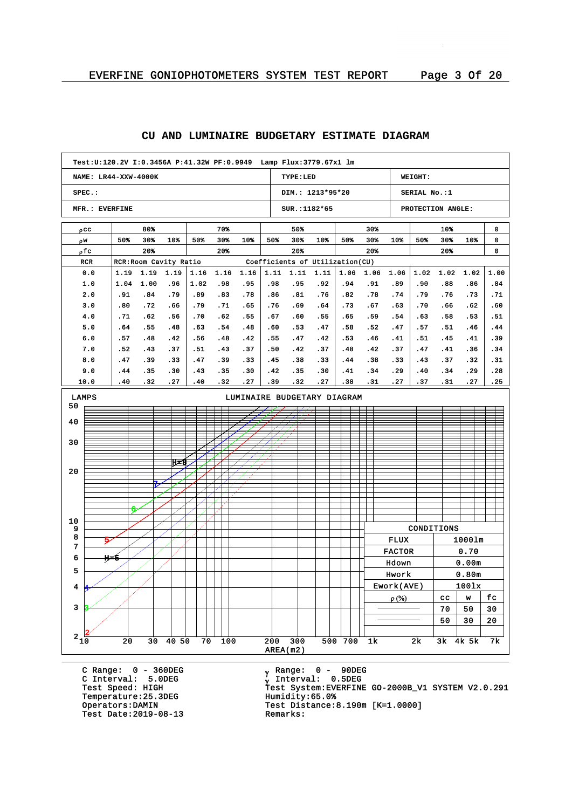#### **Test:U:120.2V I:0.3456A P:41.32W PF:0.9949 Lamp Flux:3779.67x1 lm NAME: LR44-XXW-4000K TYPE:LED WEIGHT: SPEC.: DIM.: 1213\*95\*20 SERIAL No.:1 MFR.: EVERFINE SUR.:1182\*65 PROTECTION ANGLE:** 80% 70% 50% 30% 10% 0 pcc 50% 30% 10% 50% 30% 10% 50% 30% 10% 50% 30% 10% 50% 30% 10% 0 w r 20% 20% 20% 20% 20% 0 pfc RCR RCR:Room Cavity Ratio Coefficients of Utilization(CU) 0.0 1.16 1.16 1.16 1.06 1.06 1.06 1.02 1.02 1.02 1.00 1.19 1.19 1.19 1.11 1.11 1.11 1.0 1.04 1.00 .96 1.02 .98 .95 .98 .95 .92 .94 .91 .89 .90 .88 .86 .84 2.0 .91 .84 .79 .83 .78 .86 .81 .76 .82 .78 .74 .79 .76 .73 .71 .89 3.0 .72 .79 .71 .76 .64 .73 .67 .70 .66 .80 .66 .65 .69 .63 .62 .60 .71 4.0 .62 .56 .70 .62 .55 .67 .60 .55 .65 .59 .54 .63 .58 .53 .51 5.0 .64 .55 .48 .63 .54 .48 .60 .53 .47 .58 .52 .47 .57 .51 .46 .44 .57 .45 6.0 .48 .42 .56 .48 .42 .55 .47 .42 .53 .46 .41 .51 .41 .39 .37 7.0 .52 .43 .51 .43 .37 .50 .42 .37 .48 .42 .37 .47 .41 .36 .34 .37 8.0 .47 .39 .33 .47 .39 .33 .45 .38 .33 .44 .38 .33 .43 .32 .31 .43 9.0 .44 .35 .30 .35 .30 .42 .35 .30 .41 .34 .29 .40 .34 .29 .28 10.0 .40 .32 .27 .40 .32 .27 .39 .32 .27 .38 .31 .27 .37 .31 .27 .25 LAMPS LUMINAIRE BUDGETARY DIAGRAM 50 40 30 Z H=8 20 7 6 10 CONDITIONS 9 8 FLUX 1000lm 5 7 FACTOR 0.70 6 H=5 Hdown 0.00m 5 Hwork 0.80m Ework(AVE) 100lx 4 4  $\rho$  (%)  $\vert$  cc  $\vert$  w  $\vert$  fc 3 3  $70 | 50 | 30$  $50 \mid 30 \mid 20$  $2\frac{1}{10}$  $2\frac{1}{20}$  20 30 40 50 70 100 200 300 500 700 1k 2k 3k 4k 5k 7k AREA(m2)

## **CU AND LUMINAIRE BUDGETARY ESTIMATE DIAGRAM**

C Range: 0 - 360DEG C Interval: 5.0DEG Temperature: 25.3DEG<br>Operators:DAMIN Test Date: 2019-08-13

<sub>v</sub> Range: 0 – 90DEG y Range: 0 – 90DE<br><sub>V</sub> Interval: 0.5DEG <sup>g</sup> Test Speed: HIGH Test System:EVERFINE GO-2000B\_V1 SYSTEM V2.0.291 Test Distance:8.190m [K=1.0000]<br>Remarks: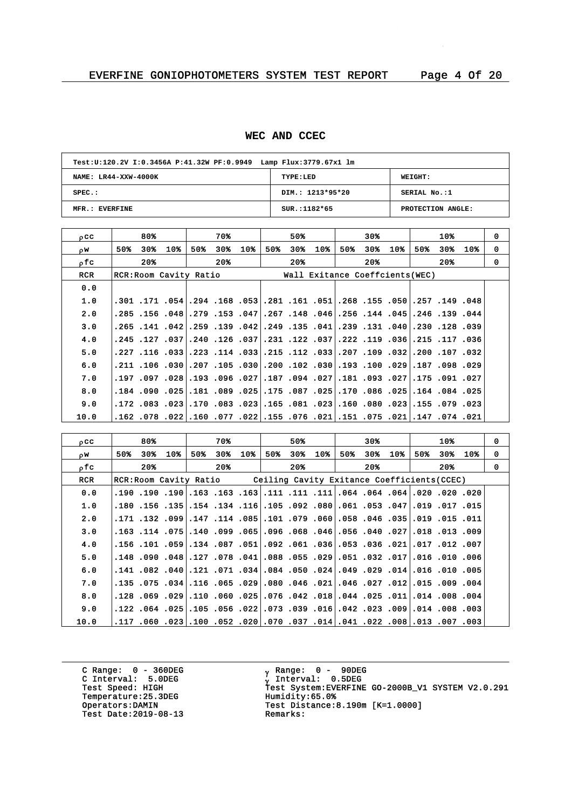## **WEC AND CCEC**

| Test: U:120.2V I:0.3456A P:41.32W PF:0.9949 Lamp Flux: 3779.67x1 lm |                  |                   |  |  |  |  |  |  |  |
|---------------------------------------------------------------------|------------------|-------------------|--|--|--|--|--|--|--|
| NAME: LR44-XXW-4000K                                                | TYPE:LED         | WEIGHT:           |  |  |  |  |  |  |  |
| $SPEC.$ :                                                           | DIM.: 1213*95*20 | SERIAL No.:1      |  |  |  |  |  |  |  |
| MFR.: EVERFINE                                                      | $SUR.:1182*65$   | PROTECTION ANGLE: |  |  |  |  |  |  |  |

| $_{0}$ CC  | 80%                    | 70%                                                                                  | 50%               | 30%                             | 10%               | $\Omega$ |
|------------|------------------------|--------------------------------------------------------------------------------------|-------------------|---------------------------------|-------------------|----------|
| OW.        | 30%<br>10%<br>50%      | 30%<br>$10*$<br>50%                                                                  | 50%<br>30%<br>10% | 50%<br>30%<br>10%               | 50%<br>30%<br>10% | 0        |
| ofc        | $20*$                  | 20%                                                                                  | $20*$             | $20*$                           | 20%               | $\Omega$ |
| <b>RCR</b> | RCR: Room Cavity Ratio |                                                                                      |                   | Wall Exitance Coeffcients (WEC) |                   |          |
| 0.0        |                        |                                                                                      |                   |                                 |                   |          |
| 1.0        |                        | 048. 149. 157. 050. 155. 268. 261. 168. 161. 261. 168. 164. 154. 154. 171. 101.      |                   |                                 |                   |          |
| 2.0        |                        | .285.144.045.16.148.047.267.148.046.256.148.045.156.                                 |                   |                                 | .246.139.044      |          |
| 3.0        |                        |                                                                                      |                   |                                 |                   |          |
| 4.0        |                        | 036. 117. 125. 036. 119. 222. 237. 124. 231. 037. 036. 126. 037. 245. 245.           |                   |                                 |                   |          |
| 5.0        |                        | 032. 107. 200. 201. 109. 109. 207. 203. 112. 125. [30. 114. 223. [30. 116. 227. 223. |                   |                                 |                   |          |
| 6.0        |                        | 929. 098. 187.  219. 100. 193. 109. 102. 100. 103.  30. 105. 105.  30. 106. 110.     |                   |                                 |                   |          |
| 7.0        |                        | 027. 091. 175. 221. 093. 093. 181. 027. 094. 187. 027. 096. 023. 028. 097. 197.      |                   |                                 |                   |          |
| 8.0        |                        | .125, 084, 034. 225, 086, 070. 251. 287, 175, 251. 089, 081. 251. 090. 084.          |                   |                                 |                   |          |
| 9.0        |                        | 023. 079. 155. 023. 080. 060. 023. 081. 165. 023. 023. 023. 023. 023. 172.           |                   |                                 |                   |          |
| 10.0       |                        | 021. 074. 147.  231. 151.  151.  231. 166. 155.  232. 177. 160. 162. 078. 162.       |                   |                                 |                   |          |

| occ        |                                                                                      | 80%   |     | 70%     |                 |     | 50% |       |     | 30% |     |     | 10%   |         | 0        |
|------------|--------------------------------------------------------------------------------------|-------|-----|---------|-----------------|-----|-----|-------|-----|-----|-----|-----|-------|---------|----------|
| DW.        | 50%                                                                                  | 30%   | 10% | 50% 30% | 10 <sub>8</sub> | 50% | 30% | $10*$ | 50% | 30% | 10% | 50% |       | 30% 10% | 0        |
| ofc        |                                                                                      | $20*$ |     | $20*$   |                 |     | 20% |       |     | 20% |     |     | $20*$ |         | $\Omega$ |
| <b>RCR</b> | RCR: Room Cavity Ratio Ceiling Cavity Exitance Coefficients (CCEC)                   |       |     |         |                 |     |     |       |     |     |     |     |       |         |          |
| 0.0        | 020, 200, 200, 201, 204, 204, 204, 111, 111, 111, 163, 163, 163, 190, 190, 190, 190, |       |     |         |                 |     |     |       |     |     |     |     |       |         |          |
| 1.0        | .150. 1017. 1019. 1053. 1051. 1080. 1092. 1053. 1016. 1044. 155. 156. 156. 150.      |       |     |         |                 |     |     |       |     |     |     |     |       |         |          |
| 2.0        | 011. 15. 15.  10. 103. 146. 168. 100. 109 101. 105. 105. 117. 109. 132. 171.         |       |     |         |                 |     |     |       |     |     |     |     |       |         |          |
| 3.0        | .009. 113. 118.  227. 140. 156.  256. 168. 168. 165.  165. 166. 168.  178. 163.      |       |     |         |                 |     |     |       |     |     |     |     |       |         |          |
| 4.0        | 001. 102. 107. 107. 121. 136. 158. 166. 160. 192. 151. 168. 169. 161. 156. 151. 156. |       |     |         |                 |     |     |       |     |     |     |     |       |         |          |
| 5.0        | .100. 010. 101.  110. 230. 151. 29. 255. 280.  100. 707. 127.  188. 090. 148.        |       |     |         |                 |     |     |       |     |     |     |     |       |         |          |
| 6.0        | 005. 101. 1016.  110. 229. 209.  201. 1050. 1084. 304. 170. 121. 100. 102 141.       |       |     |         |                 |     |     |       |     |     |     |     |       |         |          |
| 7.0        | .004. 009. 115.  112. 027. 046.  201. 046. 080.  209. 105. 115.  304. 175. 135.      |       |     |         |                 |     |     |       |     |     |     |     |       |         |          |
| 8.0        | .004. 008. 011.014. 025. 044. 018. 042. 076. 076. 069. 010. 029. 059. 029. 128.      |       |     |         |                 |     |     |       |     |     |     |     |       |         |          |
| 9.0        | .009, 008, 014. 009, 023, 042. 016. 039, 073. 022. 056. 025. 024. 024. 024.          |       |     |         |                 |     |     |       |     |     |     |     |       |         |          |
| 10.0       | .003, 007, 013.  200. 022. 041. 041. 037. 070. 020. 052. 052. 052. 060. 117.         |       |     |         |                 |     |     |       |     |     |     |     |       |         |          |

C Range: 0 - 360DEG C Interval: 5.0DEG Temperature: 25.3DEG<br>Operators:DAMIN Test Date:  $2019-08-13$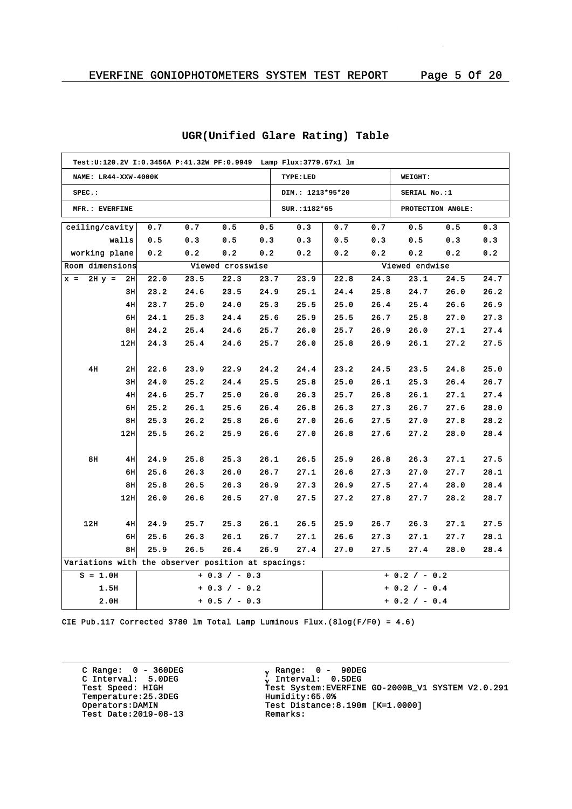|                 | NAME: LR44-XXW-4000K |       |                                                    |      |                  |      | TYPE:LED         |      |      | WEIGHT:           |      |      |
|-----------------|----------------------|-------|----------------------------------------------------|------|------------------|------|------------------|------|------|-------------------|------|------|
| $SPEC.$ :       |                      |       |                                                    |      |                  |      | DIM.: 1213*95*20 |      |      | SERIAL No.:1      |      |      |
|                 | MFR.: EVERFINE       |       |                                                    |      |                  |      | SUR.: 1182*65    |      |      | PROTECTION ANGLE: |      |      |
| ceiling/cavity  |                      |       | 0.7                                                | 0.7  | 0.5              | 0.5  | 0.3              | 0.7  | 0.7  | 0.5               | 0.5  | 0.3  |
|                 |                      | walls | 0.5                                                | 0.3  | 0.5              | 0.3  | 0.3              | 0.5  | 0.3  | 0.5               | 0.3  | 0.3  |
| working plane   |                      |       | 0.2                                                | 0.2  | 0.2              | 0.2  | 0.2              | 0.2  | 0.2  | 0.2               | 0.2  | 0.2  |
| Room dimensions |                      |       |                                                    |      | Viewed crosswise |      |                  |      |      | Viewed endwise    |      |      |
| $x =$           | $2H y =$             | 2H    | 22.0                                               | 23.5 | 22.3             | 23.7 | 23.9             | 22.8 | 24.3 | 23.1              | 24.5 | 24.7 |
|                 |                      | 3H    | 23.2                                               | 24.6 | 23.5             | 24.9 | 25.1             | 24.4 | 25.8 | 24.7              | 26.0 | 26.2 |
|                 |                      | 4H    | 23.7                                               | 25.0 | 24.0             | 25.3 | 25.5             | 25.0 | 26.4 | 25.4              | 26.6 | 26.9 |
|                 |                      | 6H    | 24.1                                               | 25.3 | 24.4             | 25.6 | 25.9             | 25.5 | 26.7 | 25.8              | 27.0 | 27.3 |
|                 |                      | 8H    | 24.2                                               | 25.4 | 24.6             | 25.7 | 26.0             | 25.7 | 26.9 | 26.0              | 27.1 | 27.4 |
|                 |                      | 12H   | 24.3                                               | 25.4 | 24.6             | 25.7 | 26.0             | 25.8 | 26.9 | 26.1              | 27.2 | 27.5 |
|                 |                      |       |                                                    |      |                  |      |                  |      |      |                   |      |      |
|                 | 4H                   | 2H    | 22.6                                               | 23.9 | 22.9             | 24.2 | 24.4             | 23.2 | 24.5 | 23.5              | 24.8 | 25.0 |
|                 |                      | зu    | 24.0                                               | 25.2 | 24.4             | 25.5 | 25.8             | 25.0 | 26.1 | 25.3              | 26.4 | 26.7 |
|                 |                      | 4H    | 24.6                                               | 25.7 | 25.0             | 26.0 | 26.3             | 25.7 | 26.8 | 26.1              | 27.1 | 27.4 |
|                 |                      | 6H    | 25.2                                               | 26.1 | 25.6             | 26.4 | 26.8             | 26.3 | 27.3 | 26.7              | 27.6 | 28.0 |
|                 |                      | 8H    | 25.3                                               | 26.2 | 25.8             | 26.6 | 27.0             | 26.6 | 27.5 | 27.0              | 27.8 | 28.2 |
|                 |                      | 12H   | 25.5                                               | 26.2 | 25.9             | 26.6 | 27.0             | 26.8 | 27.6 | 27.2              | 28.0 | 28.4 |
|                 |                      |       |                                                    |      |                  |      |                  |      |      |                   |      |      |
|                 | 8H                   | 4H    | 24.9                                               | 25.8 | 25.3             | 26.1 | 26.5             | 25.9 | 26.8 | 26.3              | 27.1 | 27.5 |
|                 |                      | 6H    | 25.6                                               | 26.3 | 26.0             | 26.7 | 27.1             | 26.6 | 27.3 | 27.0              | 27.7 | 28.1 |
|                 |                      | 8H    | 25.8                                               | 26.5 | 26.3             | 26.9 | 27.3             | 26.9 | 27.5 | 27.4              | 28.0 | 28.4 |
|                 |                      | 12H   | 26.0                                               | 26.6 | 26.5             | 27.0 | 27.5             | 27.2 | 27.8 | 27.7              | 28.2 | 28.7 |
|                 |                      |       |                                                    |      |                  |      |                  |      |      |                   |      |      |
|                 | 12H                  | 4H    | 24.9                                               | 25.7 | 25.3             | 26.1 | 26.5             | 25.9 | 26.7 | 26.3              | 27.1 | 27.5 |
|                 |                      | 6H    | 25.6                                               | 26.3 | 26.1             | 26.7 | 27.1             | 26.6 | 27.3 | 27.1              | 27.7 | 28.1 |
|                 |                      | 8н    | 25.9                                               | 26.5 | 26.4             | 26.9 | 27.4             | 27.0 | 27.5 | 27.4              | 28.0 | 28.4 |
|                 |                      |       | Variations with the observer position at spacings: |      |                  |      |                  |      |      |                   |      |      |
|                 | $S = 1.0H$           |       |                                                    |      | $+ 0.3 / - 0.3$  |      |                  |      |      | $+ 0.2 / - 0.2$   |      |      |
|                 | 1.5H                 |       |                                                    |      | $+ 0.3 / - 0.2$  |      |                  |      |      | $+ 0.2 / - 0.4$   |      |      |
|                 | 2.0H                 |       |                                                    |      | $+ 0.5 / - 0.3$  |      |                  |      |      | $+ 0.2 / - 0.4$   |      |      |

## **UGR(Unified Glare Rating) Table**

CIE Pub.117 Corrected 3780 lm Total Lamp Luminous Flux.(8log(F/F0) = 4.6)

C Range: 0 - 360DEG C Interval: 5.0DEG Temperature:25.3DEG<br>Operators:DAMIN Test Date:  $2019-08-13$ 

<sub>v</sub> Range: 0 – 90DEG y Range: 0 – 90DE<br><sub>V</sub> Interval: 0.5DEG G INCERVAL: 3.0220<br>Test Speed: HIGH Test System:EVERFINE GO-2000B\_V1 SYSTEM V2.0.291<br>Temperature:25.3DEG Humidity:65.0% Test Distance:8.190m [K=1.0000]<br>Remarks: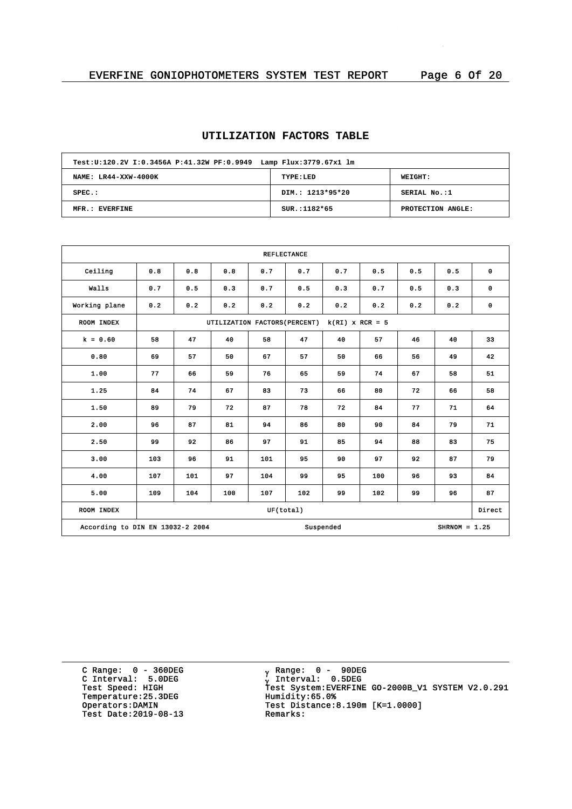## **UTILIZATION FACTORS TABLE**

| Test: U:120.2V I:0.3456A P:41.32W PF:0.9949 Lamp Flux: 3779.67x1 lm |                  |                   |  |  |  |  |  |  |  |
|---------------------------------------------------------------------|------------------|-------------------|--|--|--|--|--|--|--|
| NAME: LR44-XXW-4000K                                                | TYPE:LED         | <b>WEIGHT:</b>    |  |  |  |  |  |  |  |
| $SPEC.$ :                                                           | DIM.: 1213*95*20 | SERIAL No.:1      |  |  |  |  |  |  |  |
| MFR.: EVERFINE                                                      | $SUR.:1182*65$   | PROTECTION ANGLE: |  |  |  |  |  |  |  |

| <b>REFLECTANCE</b>                                               |     |     |                               |     |     |                   |     |     |     |             |
|------------------------------------------------------------------|-----|-----|-------------------------------|-----|-----|-------------------|-----|-----|-----|-------------|
| Ceiling                                                          | 0.8 | 0.8 | 0.8                           | 0.7 | 0.7 | 0.7               | 0.5 | 0.5 | 0.5 | 0           |
| Walls                                                            | 0.7 | 0.5 | 0.3                           | 0.7 | 0.5 | 0.3               | 0.7 | 0.5 | 0.3 | $\mathbf 0$ |
| Working plane                                                    | 0.2 | 0.2 | 0.2                           | 0.2 | 0.2 | 0.2               | 0.2 | 0.2 | 0.2 | 0           |
| <b>ROOM INDEX</b>                                                |     |     | UTILIZATION FACTORS (PERCENT) |     |     | $k(RI)$ x RCR = 5 |     |     |     |             |
| $k = 0.60$                                                       | 58  | 47  | 40                            | 58  | 47  | 40                | 57  | 46  | 40  | 33          |
| 0.80                                                             | 69  | 57  | 50                            | 67  | 57  | 50                | 66  | 56  | 49  | 42          |
| 1.00                                                             | 77  | 66  | 59                            | 76  | 65  | 59                | 74  | 67  | 58  | 51          |
| 1.25                                                             | 84  | 74  | 67                            | 83  | 73  | 66                | 80  | 72  | 66  | 58          |
| 1.50                                                             | 89  | 79  | 72                            | 87  | 78  | 72                | 84  | 77  | 71  | 64          |
| 2.00                                                             | 96  | 87  | 81                            | 94  | 86  | 80                | 90  | 84  | 79  | 71          |
| 2.50                                                             | 99  | 92  | 86                            | 97  | 91  | 85                | 94  | 88  | 83  | 75          |
| 3.00                                                             | 103 | 96  | 91                            | 101 | 95  | 90                | 97  | 92  | 87  | 79          |
| 4.00                                                             | 107 | 101 | 97                            | 104 | 99  | 95                | 100 | 96  | 93  | 84          |
| 5.00                                                             | 109 | 104 | 100                           | 107 | 102 | 99                | 102 | 99  | 96  | 87          |
| UF(total)<br>ROOM INDEX                                          |     |     |                               |     |     |                   |     |     |     | Direct      |
| According to DIN EN 13032-2 2004<br>Suspended<br>$SHRNOM = 1.25$ |     |     |                               |     |     |                   |     |     |     |             |

C Range: 0 - 360DEG C Interval: 5.0DEG Temperature: 25.3DEG<br>Operators:DAMIN Test Date:  $2019-08-13$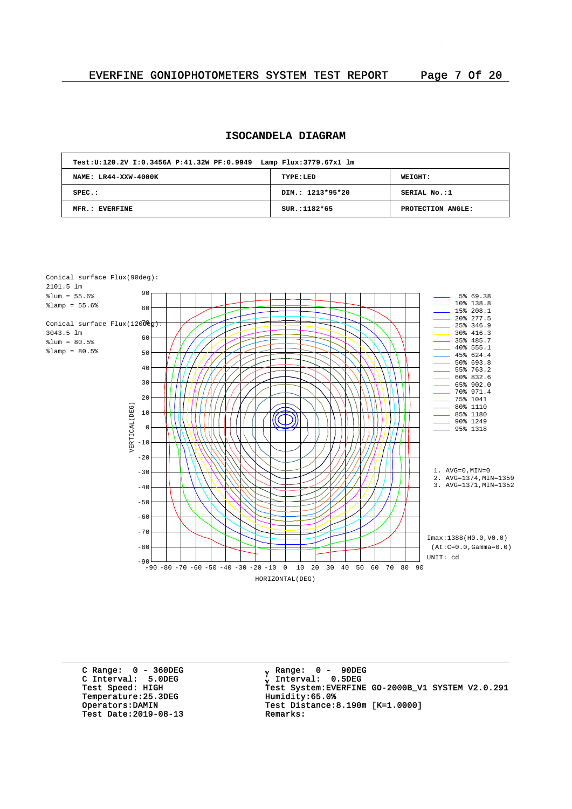## **ISOCANDELA DIAGRAM**

| Test: U:120.2V I:0.3456A P:41.32W PF:0.9949 Lamp Flux: 3779.67x1 lm |                  |                   |  |  |  |  |  |  |  |
|---------------------------------------------------------------------|------------------|-------------------|--|--|--|--|--|--|--|
| NAME: LR44-XXW-4000K                                                | TYPE:LED         | <b>WEIGHT:</b>    |  |  |  |  |  |  |  |
| $SPEC.$ :                                                           | DIM.: 1213*95*20 | SERIAL No.:1      |  |  |  |  |  |  |  |
| MFR.: EVERFINE                                                      | $SUR.:1182*65$   | PROTECTION ANGLE: |  |  |  |  |  |  |  |



C Range: 0 - 360DEG C Interval: 5.0DEG Temperature: 25.3DEG<br>Operators:DAMIN Test Date: 2019-08-13

<sub>v</sub> Range: 0 – 90DEG y Range: 0 – 90DE<br><sub>V</sub> Interval: 0.5DEG <sup>g</sup> Test Speed: HIGH Test System:EVERFINE GO-2000B\_V1 SYSTEM V2.0.291 Test Distance:8.190m [K=1.0000]<br>Remarks: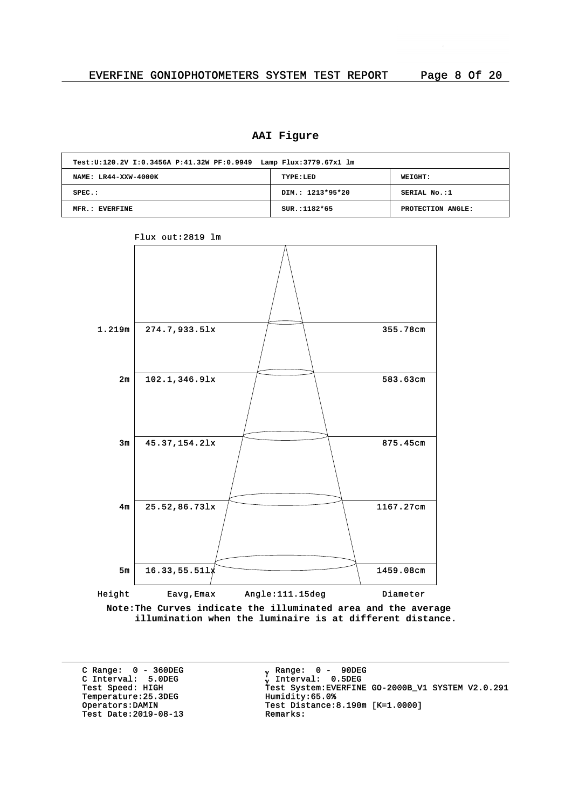## **AAI Figure**

| Test: U:120.2V I:0.3456A P:41.32W PF:0.9949 Lamp Flux: 3779.67x1 lm |                  |                   |  |  |  |  |  |  |  |
|---------------------------------------------------------------------|------------------|-------------------|--|--|--|--|--|--|--|
| NAME: LR44-XXW-4000K                                                | TYPE:LED         | WEIGHT:           |  |  |  |  |  |  |  |
| $SPEC.$ :                                                           | DIM.: 1213*95*20 | SERIAL No.:1      |  |  |  |  |  |  |  |
| MFR.: EVERFINE                                                      | $SUR.:1182*65$   | PROTECTION ANGLE: |  |  |  |  |  |  |  |



Flux out:2819 lm

**Note:The Curves indicate the illuminated area and the average illumination when the luminaire is at different distance.**

C Range: 0 - 360DEG C Interval: 5.0DEG Temperature: 25.3DEG<br>Operators: DAMIN Test Date:  $2019-08-13$ 

<sub>v</sub> Range: 0 – 90DEG y Range: 0 – 90DE<br><sub>V</sub> Interval: 0.5DEG G INCERVITE STREET<br>Test Speed: HIGH Test System:EVERFINE GO-2000B\_V1 SYSTEM V2.0.291<br>Temperature:25.3DEG Humidity:65.0% Test Distance:8.190m [K=1.0000]<br>Remarks: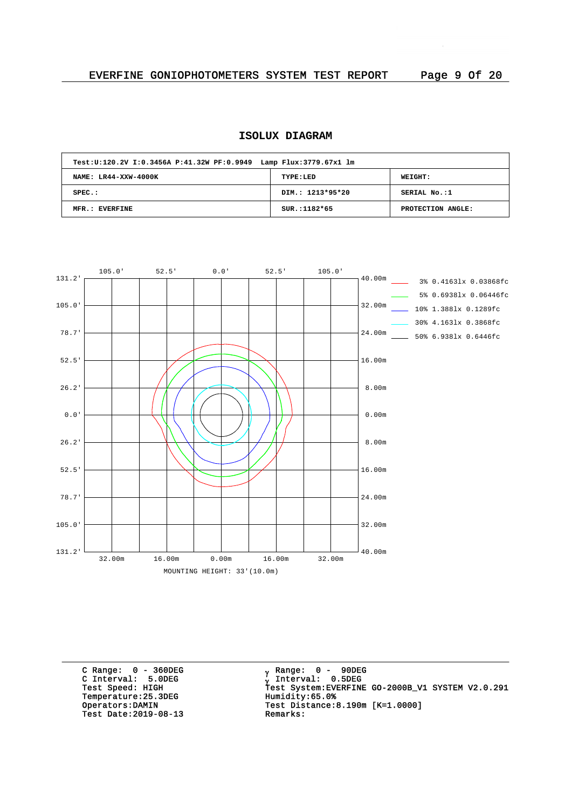## **ISOLUX DIAGRAM**

| Test: U:120.2V I:0.3456A P:41.32W PF:0.9949 Lamp Flux: 3779.67x1 lm |                  |                   |  |  |  |  |  |  |
|---------------------------------------------------------------------|------------------|-------------------|--|--|--|--|--|--|
| NAME: LR44-XXW-4000K                                                | TYPE:LED         | WEIGHT:           |  |  |  |  |  |  |
| $SPEC.$ :                                                           | DIM.: 1213*95*20 | SERIAL No.:1      |  |  |  |  |  |  |
| MFR.: EVERFINE                                                      | $SUR.:1182*65$   | PROTECTION ANGLE: |  |  |  |  |  |  |



C Range: 0 - 360DEG C Interval: 5.0DEG Temperature: 25.3DEG<br>Operators: DAMIN Test Date:  $2019-08-13$ 

<sub>v</sub> Range: 0 – 90DEG y Range: 0 – 90DE<br><sub>V</sub> Interval: 0.5DEG G INCERTION: 3.0220<br>Test Speed: HIGH Test System:EVERFINE GO-2000B\_V1 SYSTEM V2.0.291<br>Temperature:25.3DEG Humidity:65.0% Test Distance: 8.190m  $[K=1.0000]$ <br>Remarks: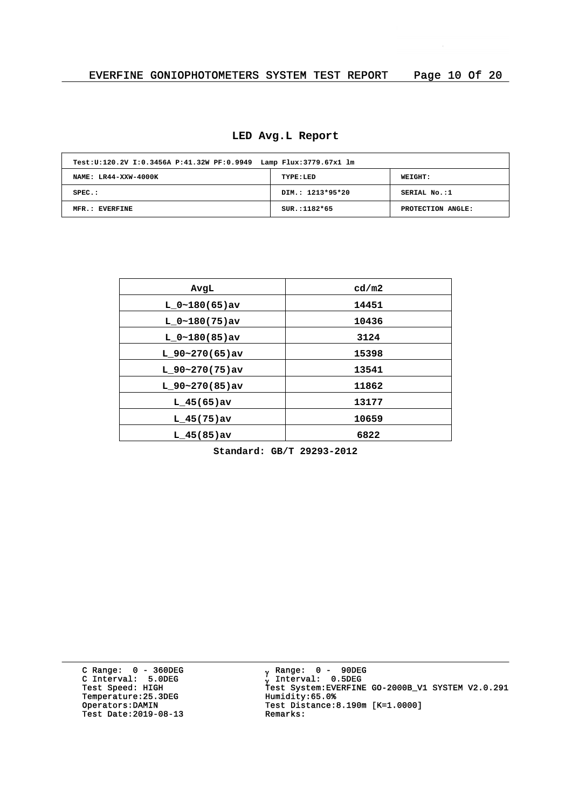|  |  | LED Avg.L Report |
|--|--|------------------|
|--|--|------------------|

| Test: U:120.2V I:0.3456A P:41.32W PF:0.9949 Lamp Flux: 3779.67x1 lm |                  |                   |  |  |  |  |  |  |
|---------------------------------------------------------------------|------------------|-------------------|--|--|--|--|--|--|
| NAME: LR44-XXW-4000K                                                | TYPE:LED         | WEIGHT:           |  |  |  |  |  |  |
| $SPEC.$ :                                                           | DIM.: 1213*95*20 | SERIAL No.:1      |  |  |  |  |  |  |
| MFR.: EVERFINE                                                      | SUR.:1182*65     | PROTECTION ANGLE: |  |  |  |  |  |  |

| AvgL              | cd/m2 |
|-------------------|-------|
| $L 0~180(65)$ av  | 14451 |
| $L_0~180(75)$ av  | 10436 |
| $L 0~180(85)$ av  | 3124  |
| $L_90~270(65)$ av | 15398 |
| $L$ 90~270(75)av  | 13541 |
| $L$ 90~270(85)av  | 11862 |
| $L$ 45(65) av     | 13177 |
| $L$ 45(75)av      | 10659 |
| $L$ 45(85) av     | 6822  |
|                   |       |

**Standard: GB/T 29293-2012**

C Range: 0 - 360DEG C Interval: 5.0DEG Temperature: 25.3DEG<br>Operators:DAMIN Test Date: 2019-08-13 Remarks:

<sub>v</sub> Range: 0 – 90DEG y Range: 0 – 90DE<br><sub>V</sub> Interval: 0.5DEG <sup>g</sup> Test Speed: HIGH Test System:EVERFINE GO-2000B\_V1 SYSTEM V2.0.291 Operators:DAMIN Test Distance:8.190m [K=1.0000]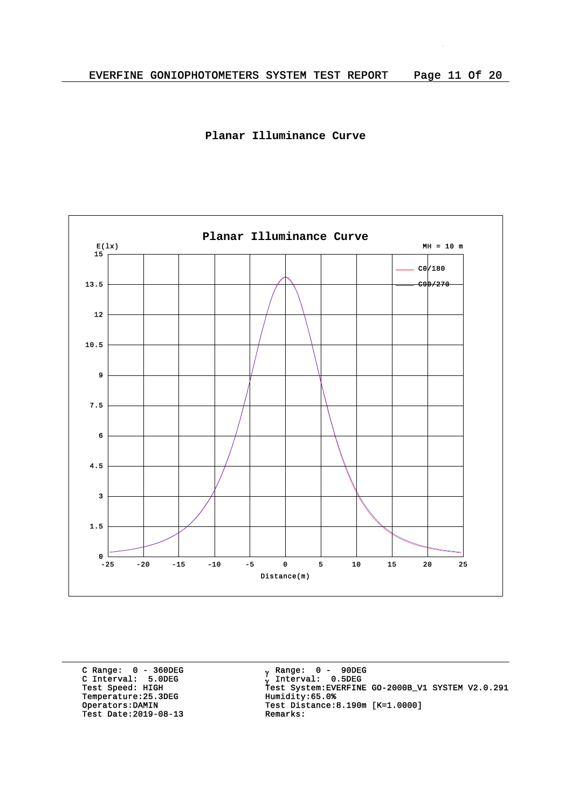



C Range: 0 - 360DEG C Interval: 5.0DEG Temperature: 25.3DEG<br>Operators: DAMIN Test Date:  $2019-08-13$ 

<sub>v</sub> Range: 0 – 90DEG y Range: 0 – 90DE<br><sub>V</sub> Interval: 0.5DEG G INCEIVAL: 3.0220<br>Test Speed: HIGH Test System:EVERFINE GO-2000B\_V1 SYSTEM V2.0.291<br>Temperature:25.3DEG Humidity:65.0% Test Distance:8.190m [K=1.0000]<br>Remarks: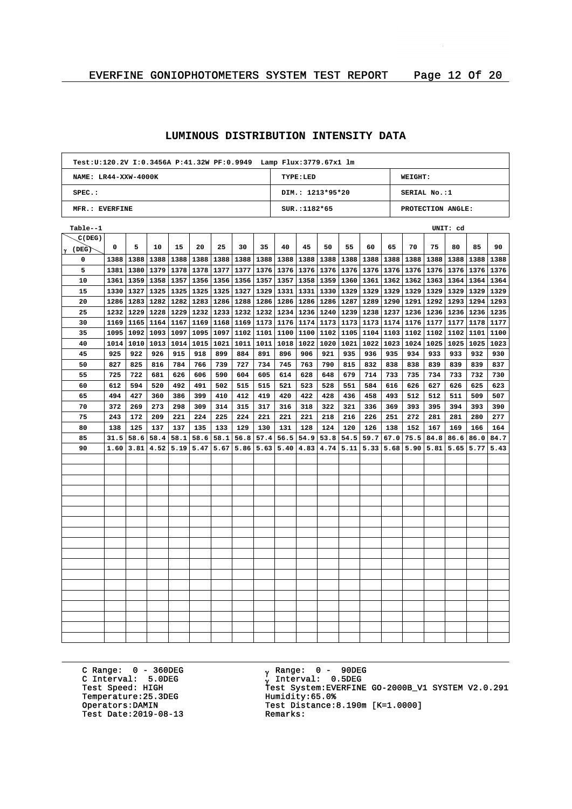#### **NAME: LR44-XXW-4000K SPEC.: MFR.: EVERFINE TYPE:LED DIM.: 1213\*95\*20 SUR.:1182\*65 WEIGHT:** SERTAL No.:1 **PROTECTION ANGLE: Test:U:120.2V I:0.3456A P:41.32W PF:0.9949 Lamp Flux:3779.67x1 lm (DEG)** g **C(DEG) Table--1 UNIT: cd 1388 1388 1381 1361 1330 1286 1232 1229 1169 1165 1164 1167 1095 1014 1010 1013 1014 925 827 725 612 494 372 243 138 31.5**  $\mid$  1.60  $\mid$  3.81  $\mid$  4.52  $\mid$  5.19  $\mid$  5.47  $\mid$  5.67  $\mid$  5.86  $\mid$  5.63  $\mid$  5.40  $\mid$  4.83  $\mid$  4.74  $\mid$  5.11  $\mid$  5.33  $\mid$  5.68  $\mid$  5.90  $\mid$  5.81  $\mid$  5.65  $\mid$  5.77  $\mid$  5.43 **209 137 58.6 58.4 1388 1388 1388 1388 1388 58.1 1233 1168 1097 1021 410 314 225 133 58.6 58.1 1232 1234 1173 1176 1101 1011 1018 317 221 130 56.8 57.4 56.5 1388 1388 1388 1388 1388 1240 1173 1102 1020 1021 1022 1023 1024 428 322 124 54.9 53.8 1173 1174 1176 1104 1103 126 54.5 59.7 67.0 1237 75.5 1388 1236 1025 1025 1023 84.8 1178 1177 1101 1100 509 393 166 164 86.6 86.0 84.7 1388 1235**

#### **LUMINOUS DISTRIBUTION INTENSITY DATA**

C Range: 0 - 360DEG C Interval: 5.0DEG<br>Test Speed: HIGH Temperature: 25.3DEG Test Date: 2019-08-13

<sub>y</sub> Range: 0 – 90DEG Interval: 0.5DEG y Incorner.<br>Test System:EVERFINE GO-2000B\_V1 SYSTEM V2.0.291<br>Humidity:65.0% Operators:DAMIN Test Distance:8.190m [K=1.0000]<br>Test Date:2019-08-13 Remarks: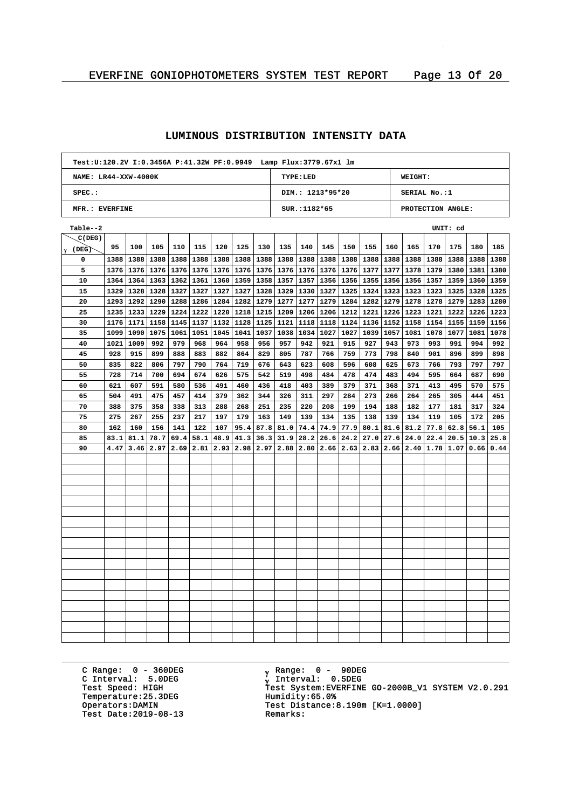## **LUMINOUS DISTRIBUTION INTENSITY DATA**

|                      | Test:U:120.2V I:0.3456A P:41.32W PF:0.9949 Lamp Flux:3779.67x1 lm |           |              |              |              |              |              |              |                                                             |                  |              |      |                              |      |                |                   |      |              |              |
|----------------------|-------------------------------------------------------------------|-----------|--------------|--------------|--------------|--------------|--------------|--------------|-------------------------------------------------------------|------------------|--------------|------|------------------------------|------|----------------|-------------------|------|--------------|--------------|
| NAME: LR44-XXW-4000K |                                                                   |           |              |              |              |              |              |              |                                                             | TYPE:LED         |              |      |                              |      | WEIGHT:        |                   |      |              |              |
| $SPEC.$ :            |                                                                   |           |              |              |              |              |              |              |                                                             | DIM.: 1213*95*20 |              |      |                              |      |                | SERIAL No.:1      |      |              |              |
| MFR.: EVERFINE       |                                                                   |           |              |              |              |              |              |              |                                                             | SUR.: 1182*65    |              |      |                              |      |                | PROTECTION ANGLE: |      |              |              |
| Table--2             |                                                                   |           |              |              |              |              |              |              | UNIT: cd                                                    |                  |              |      |                              |      |                |                   |      |              |              |
| C(DEG)               |                                                                   |           |              |              |              |              |              |              |                                                             |                  |              |      |                              |      |                |                   |      |              |              |
| (DEG)<br>Υ           | 95                                                                | 100       | 105          | 110          | 115          | 120          | 125          | 130          | 135                                                         | 140              | 145          | 150  | 155                          | 160  | 165            | 170               | 175  | 180          | 185          |
| 0                    | 1388                                                              | 1388      | 1388         | 1388         | 1388         | 1388         | 1388         | 1388         | 1388                                                        | 1388             | 1388         | 1388 | 1388                         | 1388 | 1388           | 1388              | 1388 | 1388         | 1388         |
| 5                    |                                                                   | 1376 1376 | 1376 1376    |              | 1376         | 1376         | 1376         | 1376         | 1376                                                        | 1376             | 1376         |      | 1376 1377                    |      | 1377 1378      | 1379              | 1380 | 1381         | 1380         |
| 10                   | 1364                                                              | 1364      | 1363         | 1362         | 1361         | 1360         | 1359         | 1358         | 1357                                                        | 1357             | 1356         | 1356 | 1355                         | 1356 | 1356           | 1357              | 1359 | 1360         | 1359         |
| 15                   |                                                                   | 1329 1328 | 1328         | 1327         | 1327         | 1327         | 1327         | 1328         | 1329                                                        | 1330             | 1327         |      | 1325 1324                    |      | 1323 1323 1323 |                   | 1325 | 1328         | 1325         |
| 20                   |                                                                   | 1293 1292 | 1290         | 1288         | 1286         | 1284         | 1282         | 1279         | 1277                                                        | 1277             | 1279         |      | 1284 1282                    | 1279 | 1278           | 1278              | 1279 | 1283         | 1280         |
| 25                   | 1235                                                              | 1233      | 1229         | 1224         | 1222         | 1220         | 1218         | 1215         | 1209                                                        | 1206             | 1206         | 1212 | 1221                         | 1226 | 1223           | 1221              | 1222 | 1226         | 1223         |
| 30                   | 1176                                                              | 1171      | 1158         | 1145         | 1137         | 1132         | 1128         | 1125         | 1121                                                        | 1118             | 1118         | 1124 | 1136                         | 1152 | 1158           | 1154              | 1155 | 1159         | 1156         |
| 35                   | 1099                                                              | 1090      | 1075         | 1061         | 1051         | 1045         | 1041         | 1037         | 1038                                                        | 1034             | 1027         | 1027 | 1039                         | 1057 | 1081           | 1078              | 1077 | 1081         | 1078         |
| 40                   | 1021                                                              | 1009      | 992          | 979          | 968          | 964          | 958          | 956          | 957                                                         | 942              | 921          | 915  | 927                          | 943  | 973            | 993               | 991  | 994          | 992          |
| 45                   | 928                                                               | 915       | 899          | 888          | 883          | 882          | 864          | 829          | 805                                                         | 787              | 766          | 759  | 773                          | 798  | 840            | 901               | 896  | 899          | 898          |
| 50                   | 835                                                               | 822       | 806          | 797          | 790          | 764          | 719          | 676          | 643                                                         | 623              | 608          | 596  | 608                          | 625  | 673            | 766               | 793  | 797          | 797          |
| 55                   | 728                                                               | 714       | 700          | 694          | 674          | 626          | 575          | 542          | 519                                                         | 498              | 484          | 478  | 474                          | 483  | 494            | 595               | 664  | 687          | 690          |
| 60                   | 621                                                               | 607       | 591          | 580          | 536          | 491          | 460          | 436          | 418<br>403<br>389<br>379<br>371<br>368<br>371<br>413<br>495 |                  |              |      |                              | 570  | 575            |                   |      |              |              |
| 65                   | 504                                                               | 491       | 475          | 457          | 414          | 379          | 362          | 344          | 326                                                         | 311              | 297          | 284  | 273                          | 266  | 264            | 265               | 305  | 444          | 451          |
| 70                   | 388                                                               | 375       | 358          | 338          | 313          | 288          | 268          | 251          | 235                                                         | 220              | 208          | 199  | 194                          | 188  | 182            | 177               | 181  | 317          | 324          |
| 75                   | 275                                                               | 267       | 255          | 237          | 217          | 197          | 179          | 163          | 149                                                         | 139              | 134          | 135  | 138                          | 139  | 134            | 119               | 105  | 172          | 205          |
| 80                   | 162                                                               | 160       | 156          | 141          | 122          | 107          | 95.4         | 87.8         | 81.0                                                        | 74.4             | 74.9         | 77.9 | 80.1                         | 81.6 | 81.2           | 77.8              | 62.8 | 56.1         | 105          |
| 85<br>90             | 83.1<br>4.47                                                      | 81.1      | 78.7<br>2.97 | 69.4<br>2.69 | 58.1<br>2.81 | 48.9<br>2.93 | 41.3<br>2.98 | 36.3<br>2.97 | 31.9<br>2.88                                                | 28.2<br>2.80     | 26.6<br>2.66 | 24.2 | 27.0<br>$2.63$   2.83   2.66 | 27.6 | 24.0<br>2.40   | 22.4<br>1.78      | 20.5 | 10.3<br>0.66 | 25.8<br>0.44 |
|                      |                                                                   | 3.46      |              |              |              |              |              |              |                                                             |                  |              |      |                              |      |                |                   | 1.07 |              |              |
|                      |                                                                   |           |              |              |              |              |              |              |                                                             |                  |              |      |                              |      |                |                   |      |              |              |
|                      |                                                                   |           |              |              |              |              |              |              |                                                             |                  |              |      |                              |      |                |                   |      |              |              |
|                      |                                                                   |           |              |              |              |              |              |              |                                                             |                  |              |      |                              |      |                |                   |      |              |              |
|                      |                                                                   |           |              |              |              |              |              |              |                                                             |                  |              |      |                              |      |                |                   |      |              |              |
|                      |                                                                   |           |              |              |              |              |              |              |                                                             |                  |              |      |                              |      |                |                   |      |              |              |
|                      |                                                                   |           |              |              |              |              |              |              |                                                             |                  |              |      |                              |      |                |                   |      |              |              |
|                      |                                                                   |           |              |              |              |              |              |              |                                                             |                  |              |      |                              |      |                |                   |      |              |              |
|                      |                                                                   |           |              |              |              |              |              |              |                                                             |                  |              |      |                              |      |                |                   |      |              |              |
|                      |                                                                   |           |              |              |              |              |              |              |                                                             |                  |              |      |                              |      |                |                   |      |              |              |
|                      |                                                                   |           |              |              |              |              |              |              |                                                             |                  |              |      |                              |      |                |                   |      |              |              |
|                      |                                                                   |           |              |              |              |              |              |              |                                                             |                  |              |      |                              |      |                |                   |      |              |              |
|                      |                                                                   |           |              |              |              |              |              |              |                                                             |                  |              |      |                              |      |                |                   |      |              |              |
|                      |                                                                   |           |              |              |              |              |              |              |                                                             |                  |              |      |                              |      |                |                   |      |              |              |
|                      |                                                                   |           |              |              |              |              |              |              |                                                             |                  |              |      |                              |      |                |                   |      |              |              |
|                      |                                                                   |           |              |              |              |              |              |              |                                                             |                  |              |      |                              |      |                |                   |      |              |              |
|                      |                                                                   |           |              |              |              |              |              |              |                                                             |                  |              |      |                              |      |                |                   |      |              |              |
|                      |                                                                   |           |              |              |              |              |              |              |                                                             |                  |              |      |                              |      |                |                   |      |              |              |

C Range: 0 - 360DEG C Interval: 5.0DEG Temperature: 25.3DEG<br>Operators: DAMIN Test Date:  $2019-08-13$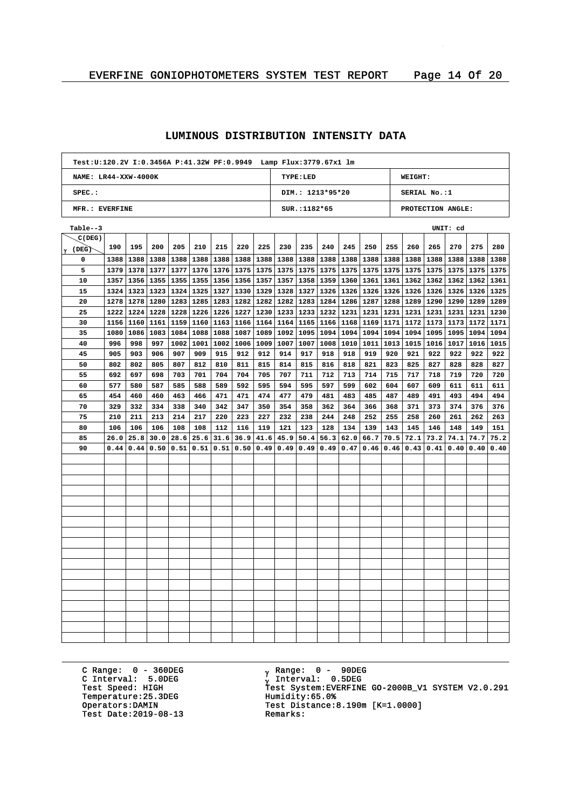## **LUMINOUS DISTRIBUTION INTENSITY DATA**

| Test:U:120.2V I:0.3456A P:41.32W PF:0.9949 Lamp Flux:3779.67x1 lm |      |      |      |      |      |      |      |      |                                     |                  |      |      |      |      |              |      |      |      |      |
|-------------------------------------------------------------------|------|------|------|------|------|------|------|------|-------------------------------------|------------------|------|------|------|------|--------------|------|------|------|------|
| NAME: LR44-XXW-4000K                                              |      |      |      |      |      |      |      |      |                                     | TYPE: LED        |      |      |      |      | WEIGHT:      |      |      |      |      |
| SPEC.:                                                            |      |      |      |      |      |      |      |      |                                     | DIM.: 1213*95*20 |      |      |      |      | SERIAL No.:1 |      |      |      |      |
| MFR.: EVERFINE                                                    |      |      |      |      |      |      |      |      | PROTECTION ANGLE:<br>$SUR.:1182*65$ |                  |      |      |      |      |              |      |      |      |      |
| Table--3                                                          |      |      |      |      |      |      |      |      |                                     |                  |      |      |      |      | UNIT: cd     |      |      |      |      |
| C(DEG)                                                            |      |      |      |      |      |      |      |      |                                     |                  |      |      |      |      |              |      |      |      |      |
| (DEG)<br>γ                                                        | 190  | 195  | 200  | 205  | 210  | 215  | 220  | 225  | 230                                 | 235              | 240  | 245  | 250  | 255  | 260          | 265  | 270  | 275  | 280  |
| 0                                                                 | 1388 | 1388 | 1388 | 1388 | 1388 | 1388 | 1388 | 1388 | 1388                                | 1388             | 1388 | 1388 | 1388 | 1388 | 1388         | 1388 | 1388 | 1388 | 1388 |
| 5                                                                 | 1379 | 1378 | 1377 | 1377 | 1376 | 1376 | 1375 | 1375 | 1375                                | 1375             | 1375 | 1375 | 1375 | 1375 | 1375         | 1375 | 1375 | 1375 | 1375 |
| 10                                                                | 1357 | 1356 | 1355 | 1355 | 1355 | 1356 | 1356 | 1357 | 1357                                | 1358             | 1359 | 1360 | 1361 | 1361 | 1362         | 1362 | 1362 | 1362 | 1361 |
| 15                                                                | 1324 | 1323 | 1323 | 1324 | 1325 | 1327 | 1330 | 1329 | 1328                                | 1327             | 1326 | 1326 | 1326 | 1326 | 1326         | 1326 | 1326 | 1326 | 1325 |
| 20                                                                | 1278 | 1278 | 1280 | 1283 | 1285 | 1283 | 1282 | 1282 | 1282                                | 1283             | 1284 | 1286 | 1287 | 1288 | 1289         | 1290 | 1290 | 1289 | 1289 |
| 25                                                                | 1222 | 1224 | 1228 | 1228 | 1226 | 1226 | 1227 | 1230 | 1233                                | 1233             | 1232 | 1231 | 1231 | 1231 | 1231         | 1231 | 1231 | 1231 | 1230 |
| 30                                                                | 1156 | 1160 | 1161 | 1159 | 1160 | 1163 | 1166 | 1164 | 1164                                | 1165             | 1166 | 1168 | 1169 | 1171 | 1172         | 1173 | 1173 | 1172 | 1171 |
| 35                                                                | 1080 | 1086 | 1083 | 1084 | 1088 | 1088 | 1087 | 1089 | 1092                                | 1095             | 1094 | 1094 | 1094 | 1094 | 1094         | 1095 | 1095 | 1094 | 1094 |
| 40                                                                | 996  | 998  | 997  | 1002 | 1001 | 1002 | 1006 | 1009 | 1007                                | 1007             | 1008 | 1010 | 1011 | 1013 | 1015         | 1016 | 1017 | 1016 | 1015 |
| 45                                                                | 905  | 903  | 906  | 907  | 909  | 915  | 912  | 912  | 914                                 | 917              | 918  | 918  | 919  | 920  | 921          | 922  | 922  | 922  | 922  |
| 50                                                                | 802  | 802  | 805  | 807  | 812  | 810  | 811  | 815  | 814                                 | 815              | 816  | 818  | 821  | 823  | 825          | 827  | 828  | 828  | 827  |
| 55                                                                | 692  | 697  | 698  | 703  | 701  | 704  | 704  | 705  | 707                                 | 711              | 712  | 713  | 714  | 715  | 717          | 718  | 719  | 720  | 720  |
| 60                                                                | 577  | 580  | 587  | 585  | 588  | 589  | 592  | 595  | 594                                 | 595              | 597  | 599  | 602  | 604  | 607          | 609  | 611  | 611  | 611  |
| 65                                                                | 454  | 460  | 460  | 463  | 466  | 471  | 471  | 474  | 477                                 | 479              | 481  | 483  | 485  | 487  | 489          | 491  | 493  | 494  | 494  |
| 70                                                                | 329  | 332  | 334  | 338  | 340  | 342  | 347  | 350  | 354                                 | 358              | 362  | 364  | 366  | 368  | 371          | 373  | 374  | 376  | 376  |
| 75                                                                | 210  | 211  | 213  | 214  | 217  | 220  | 223  | 227  | 232                                 | 238              | 244  | 248  | 252  | 255  | 258          | 260  | 261  | 262  | 263  |
| 80                                                                | 106  | 106  | 106  | 108  | 108  | 112  | 116  | 119  | 121                                 | 123              | 128  | 134  | 139  | 143  | 145          | 146  | 148  | 149  | 151  |
| 85                                                                | 26.0 | 25.8 | 30.0 | 28.6 | 25.6 | 31.6 | 36.9 | 41.6 | 45.9                                | 50.4             | 56.3 | 62.0 | 66.7 | 70.5 | 72.1         | 73.2 | 74.1 | 74.7 | 75.2 |
| 90                                                                | 0.44 | 0.44 | 0.50 | 0.51 | 0.51 | 0.51 | 0.50 | 0.49 | 0.49                                | 0.49             | 0.49 | 0.47 | 0.46 | 0.46 | 0.43         | 0.41 | 0.40 | 0.40 | 0.40 |
|                                                                   |      |      |      |      |      |      |      |      |                                     |                  |      |      |      |      |              |      |      |      |      |
|                                                                   |      |      |      |      |      |      |      |      |                                     |                  |      |      |      |      |              |      |      |      |      |
|                                                                   |      |      |      |      |      |      |      |      |                                     |                  |      |      |      |      |              |      |      |      |      |
|                                                                   |      |      |      |      |      |      |      |      |                                     |                  |      |      |      |      |              |      |      |      |      |
|                                                                   |      |      |      |      |      |      |      |      |                                     |                  |      |      |      |      |              |      |      |      |      |
|                                                                   |      |      |      |      |      |      |      |      |                                     |                  |      |      |      |      |              |      |      |      |      |
|                                                                   |      |      |      |      |      |      |      |      |                                     |                  |      |      |      |      |              |      |      |      |      |
|                                                                   |      |      |      |      |      |      |      |      |                                     |                  |      |      |      |      |              |      |      |      |      |
|                                                                   |      |      |      |      |      |      |      |      |                                     |                  |      |      |      |      |              |      |      |      |      |
|                                                                   |      |      |      |      |      |      |      |      |                                     |                  |      |      |      |      |              |      |      |      |      |
|                                                                   |      |      |      |      |      |      |      |      |                                     |                  |      |      |      |      |              |      |      |      |      |
|                                                                   |      |      |      |      |      |      |      |      |                                     |                  |      |      |      |      |              |      |      |      |      |
|                                                                   |      |      |      |      |      |      |      |      |                                     |                  |      |      |      |      |              |      |      |      |      |
|                                                                   |      |      |      |      |      |      |      |      |                                     |                  |      |      |      |      |              |      |      |      |      |
|                                                                   |      |      |      |      |      |      |      |      |                                     |                  |      |      |      |      |              |      |      |      |      |
|                                                                   |      |      |      |      |      |      |      |      |                                     |                  |      |      |      |      |              |      |      |      |      |
|                                                                   |      |      |      |      |      |      |      |      |                                     |                  |      |      |      |      |              |      |      |      |      |
|                                                                   |      |      |      |      |      |      |      |      |                                     |                  |      |      |      |      |              |      |      |      |      |

C Range: 0 - 360DEG C Interval: 5.0DEG Temperature: 25.3DEG<br>Operators: DAMIN Test Date:  $2019-08-13$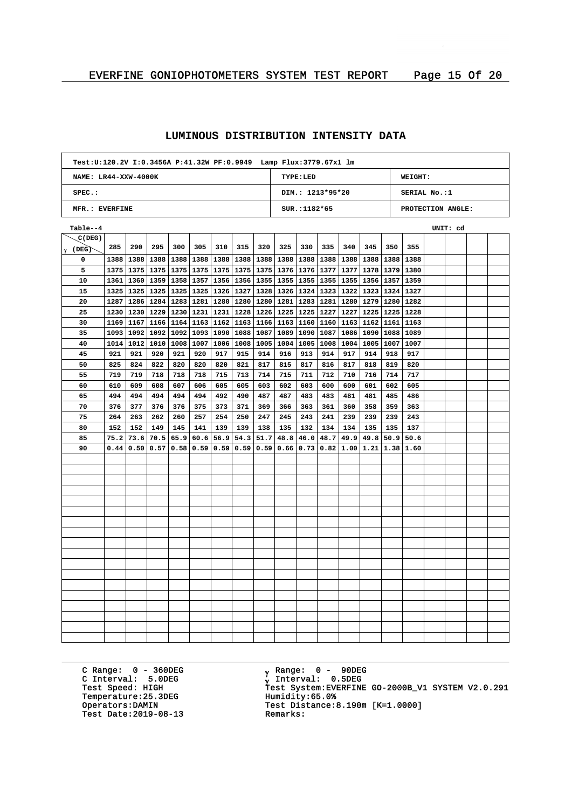## **LUMINOUS DISTRIBUTION INTENSITY DATA**

|                        | Test:U:120.2V I:0.3456A P:41.32W PF:0.9949 Lamp Flux:3779.67x1 lm |                           |             |           |                                                       |           |             |      |                           |                  |           |      |                                      |           |                   |          |  |
|------------------------|-------------------------------------------------------------------|---------------------------|-------------|-----------|-------------------------------------------------------|-----------|-------------|------|---------------------------|------------------|-----------|------|--------------------------------------|-----------|-------------------|----------|--|
| NAME: $LR44-XXW-4000K$ |                                                                   |                           |             |           |                                                       |           |             |      |                           | TYPE: LED        |           |      |                                      |           | WEIGHT:           |          |  |
| $SPEC.$ :              |                                                                   |                           |             |           |                                                       |           |             |      |                           | DIM.: 1213*95*20 |           |      |                                      |           | SERIAL No.:1      |          |  |
| MFR.: EVERFINE         |                                                                   |                           |             |           |                                                       |           |             |      |                           | SUR.: 1182*65    |           |      |                                      |           | PROTECTION ANGLE: |          |  |
| Table--4               |                                                                   |                           |             |           |                                                       |           |             |      |                           |                  |           |      |                                      |           |                   | UNIT: cd |  |
| C(DEG)                 |                                                                   |                           |             |           |                                                       |           |             |      |                           |                  |           |      |                                      |           |                   |          |  |
| $\gamma$ (DEG)         | 285                                                               | 290                       | 295         | 300       | 305                                                   | 310       | 315         | 320  | 325                       | 330              | 335       | 340  | 345                                  | 350       | 355               |          |  |
| 0                      | 1388                                                              | 1388                      |             | 1388 1388 | 1388                                                  | 1388      | 1388        | 1388 | 1388                      |                  | 1388 1388 |      | 1388 1388                            | 1388 1388 |                   |          |  |
| 5                      |                                                                   | 1375   1375   1375   1375 |             |           | 1375                                                  | 1375      | 1375        | 1375 | 1376                      | 1376 1377        |           |      | 1377   1378   1379   1380            |           |                   |          |  |
| 10                     |                                                                   | 1361   1360   1359   1358 |             |           | 1357 1356                                             |           | 1356   1355 |      | 1355                      | 1355   1355      |           |      | 1355   1356   1357   1359            |           |                   |          |  |
| 15                     |                                                                   |                           |             |           | 1325   1325   1325   1325   1325   1326   1327        |           |             |      | 1328   1326   1324   1323 |                  |           |      | 1322   1323   1324   1327            |           |                   |          |  |
| 20                     |                                                                   |                           |             |           | 1287   1286   1284   1283   1281   1280   1280   1280 |           |             |      | 1281                      | 1283 1281        |           |      | 1280 1279 1280 1282                  |           |                   |          |  |
| 25                     | 1230                                                              | 1230                      |             | 1229 1230 |                                                       | 1231 1231 | 1228        | 1226 | 1225                      | 1225             | 1227      |      | 1227   1225   1225   1228            |           |                   |          |  |
| 30                     | 1169                                                              | 1167                      |             |           | 1166   1164   1163                                    | 1162      | 1163        | 1166 | 1163                      | 1160             | 1160      |      | 1163   1162   1161   1163            |           |                   |          |  |
| 35                     | 1093                                                              | 1092                      | 1092        | 1092      | 1093                                                  | 1090      | 1088        | 1087 | 1089                      | 1090             | 1087      |      | 1086 1090                            | 1088 1089 |                   |          |  |
| 40                     | 1014                                                              | 1012                      |             | 1010 1008 | 1007                                                  | 1006      | 1008        | 1005 | 1004                      | 1005             | 1008      |      | 1004   1005   1007   1007            |           |                   |          |  |
| 45                     | 921                                                               | 921                       | 920         | 921       | 920                                                   | 917       | 915         | 914  | 916                       | 913              | 914       | 917  | 914                                  | 918       | 917               |          |  |
| 50                     | 825                                                               | 824                       | 822         | 820       | 820                                                   | 820       | 821         | 817  | 815                       | 817              | 816       | 817  | 818                                  | 819       | 820               |          |  |
| 55                     | 719                                                               | 719                       | 718         | 718       | 718                                                   | 715       | 713         | 714  | 715                       | 711              | 712       | 710  | 716                                  | 714       | 717               |          |  |
| 60                     | 610                                                               | 609                       | 608         | 607       | 606                                                   | 605       | 605         | 603  | 602                       | 603              | 600       | 600  | 601                                  | 602       | 605               |          |  |
| 65                     | 494                                                               | 494                       | 494         | 494       | 494                                                   | 492       | 490         | 487  | 487                       | 483              | 483       | 481  | 481                                  | 485       | 486               |          |  |
| 70                     | 376                                                               | 377                       | 376         | 376       | 375                                                   | 373       | 371         | 369  | 366                       | 363              | 361       | 360  | 358                                  | 359       | 363               |          |  |
| 75                     | 264                                                               | 263                       | 262         | 260       | 257                                                   | 254       | 250         | 247  | 245                       | 243              | 241       | 239  | 239                                  | 239       | 243               |          |  |
| 80                     | 152                                                               | 152                       | 149         | 145       | 141                                                   | 139       | 139         | 138  | 135                       | 132              | 134       | 134  | 135                                  | 135       | 137               |          |  |
| 85                     | 75.2                                                              | 73.6                      | 70.5        | 65.9      | 60.6                                                  | 56.9      | 54.3        | 51.7 | 48.8                      | 46.0             | 48.7      | 49.9 | 49.8                                 | 50.9      | 50.6              |          |  |
| 90                     | 0.44                                                              |                           | 0.50   0.57 | 0.58      | 0.59                                                  | 0.59      | 0.59        | 0.59 | 0.66                      | 0.73             | 0.82      |      | $1.00 \mid 1.21 \mid 1.38 \mid 1.60$ |           |                   |          |  |
|                        |                                                                   |                           |             |           |                                                       |           |             |      |                           |                  |           |      |                                      |           |                   |          |  |
|                        |                                                                   |                           |             |           |                                                       |           |             |      |                           |                  |           |      |                                      |           |                   |          |  |
|                        |                                                                   |                           |             |           |                                                       |           |             |      |                           |                  |           |      |                                      |           |                   |          |  |
|                        |                                                                   |                           |             |           |                                                       |           |             |      |                           |                  |           |      |                                      |           |                   |          |  |
|                        |                                                                   |                           |             |           |                                                       |           |             |      |                           |                  |           |      |                                      |           |                   |          |  |
|                        |                                                                   |                           |             |           |                                                       |           |             |      |                           |                  |           |      |                                      |           |                   |          |  |
|                        |                                                                   |                           |             |           |                                                       |           |             |      |                           |                  |           |      |                                      |           |                   |          |  |
|                        |                                                                   |                           |             |           |                                                       |           |             |      |                           |                  |           |      |                                      |           |                   |          |  |
|                        |                                                                   |                           |             |           |                                                       |           |             |      |                           |                  |           |      |                                      |           |                   |          |  |
|                        |                                                                   |                           |             |           |                                                       |           |             |      |                           |                  |           |      |                                      |           |                   |          |  |
|                        |                                                                   |                           |             |           |                                                       |           |             |      |                           |                  |           |      |                                      |           |                   |          |  |
|                        |                                                                   |                           |             |           |                                                       |           |             |      |                           |                  |           |      |                                      |           |                   |          |  |
|                        |                                                                   |                           |             |           |                                                       |           |             |      |                           |                  |           |      |                                      |           |                   |          |  |
|                        |                                                                   |                           |             |           |                                                       |           |             |      |                           |                  |           |      |                                      |           |                   |          |  |
|                        |                                                                   |                           |             |           |                                                       |           |             |      |                           |                  |           |      |                                      |           |                   |          |  |
|                        |                                                                   |                           |             |           |                                                       |           |             |      |                           |                  |           |      |                                      |           |                   |          |  |
|                        |                                                                   |                           |             |           |                                                       |           |             |      |                           |                  |           |      |                                      |           |                   |          |  |
|                        |                                                                   |                           |             |           |                                                       |           |             |      |                           |                  |           |      |                                      |           |                   |          |  |

C Range: 0 - 360DEG C Interval: 5.0DEG Temperature: 25.3DEG<br>Operators: DAMIN Test Date:  $2019-08-13$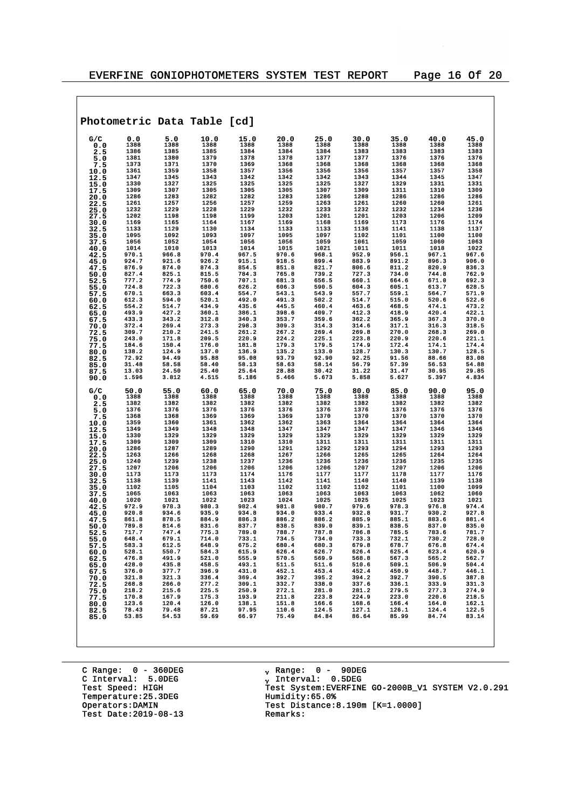|              |                |                | Photometric Data Table [cd] |                |                |                |                |                |                |                |
|--------------|----------------|----------------|-----------------------------|----------------|----------------|----------------|----------------|----------------|----------------|----------------|
| G/C          | 0.0            | 5.0            | 10.0                        | 15.0           | 20.0           | 25.0           | 30.0           | 35.0           | 40.0           | 45.0           |
| 0.0          | 1388<br>1386   | 1388<br>1385   | 1388<br>1385                | 1388<br>1384   | 1388<br>1384   | 1388<br>1384   | 1388<br>1383   | 1388<br>1383   | 1388<br>1383   | 1388<br>1383   |
| 2.5<br>5.0   | 1381           | 1380           | 1379                        | 1378           | 1378           | 1377           | 1377           | 1376           | 1376           | 1376           |
| 7.5          | 1373           | 1371           | 1370                        | 1369           | 1368           | 1368           | 1368           | 1368           | 1368           | 1368           |
| 10.0         | 1361           | 1359           | 1358                        | 1357           | 1356           | 1356           | 1356           | 1357           | 1357           | 1358           |
| 12.5         | 1347           | 1345           | 1343                        | 1342           | 1342           | 1342           | 1343           | 1344           | 1345           | 1347           |
| 15.0         | 1330           | 1327           | 1325                        | 1325           | 1325           | 1325           | 1327           | 1329           | 1331           | 1331           |
| 17.5         | 1309<br>1286   | 1307<br>1283   | 1305<br>1282                | 1305<br>1282   | 1305<br>1283   | 1307<br>1286   | 1309<br>1288   | 1311<br>1286   | 1310<br>1286   | 1309<br>1286   |
| 20.0<br>22.5 | 1261           | 1257           | 1256                        | 1257           | 1259           | 1263           | 1261           | 1260           | 1260           | 1261           |
| 25.0         | 1232           | 1229           | 1228                        | 1229           | 1232           | 1233           | 1232           | 1232           | 1234           | 1236           |
| 27.5         | 1202           | 1198           | 1198                        | 1199           | 1203           | 1201           | 1201           | 1203           | 1206           | 1209           |
| 30.0         | 1169           | 1165           | 1164                        | 1167           | 1169           | 1168           | 1169           | 1173           | 1176           | 1174           |
| 32.5         | 1133           | 1129           | 1130                        | 1134           | 1133           | 1133           | 1136           | 1141           | 1138           | 1137           |
| 35.0         | 1095           | 1092<br>1052   | 1093<br>1054                | 1097<br>1056   | 1095           | 1097<br>1059   | 1102<br>1061   | 1101<br>1059   | 1100<br>1060   | 1100<br>1063   |
| 37.5         | 1056<br>1014   | 1010           | 1013                        | 1014           | 1056<br>1015   | 1021           | 1011           | 1011           | 1018           | 1022           |
| 40.0<br>42.5 | 970.1          | 966.8          | 970.4                       | 967.5          | 970.6          | 968.1          | 952.9          | 956.1          | 967.1          | 967.6          |
| 45.0         | 924.7          | 921.6          | 926.2                       | 915.1          | 918.5          | 899.4          | 883.9          | 891.2          | 896.3          | 906.0          |
| 47.5         | 876.9          | 874.0          | 874.3                       | 854.5          | 851.8          | 821.7          | 806.6          | 811.2          | 820.9          | 836.3          |
| 50.0         | 827.4          | 825.1          | 815.5                       | 784.3          | 765.8          | 739.2          | 727.3          | 734.0          | 744.8          | 762.9          |
| 52.5         | 777.2          | 774.9          | 750.6                       | 707.1          | 681.3          | 656.5<br>590.5 | 660.1          | 664.6          | 671.0          | 692.3          |
| 55.0<br>57.5 | 724.8<br>670.1 | 722.3<br>663.3 | 680.6<br>603.4              | 626.2<br>554.7 | 606.3<br>543.1 | 543.9          | 604.3<br>557.7 | 605.1<br>559.1 | 613.7<br>564.7 | 628.5<br>571.9 |
| 60.0         | 612.3          | 594.0          | 520.1                       | 492.0          | 491.3          | 502.2          | 514.7          | 515.0          | 520.6          | 522.6          |
| 62.5         | 554.2          | 514.7          | 434.9                       | 435.6          | 445.5          | 460.4          | 463.6          | 468.5          | 474.1          | 473.2          |
| 65.0         | 493.9          | 427.2          | 360.1                       | 386.1          | 398.6          | 409.7          | 412.3          | 418.9          | 420.4          | 422.1          |
| 67.5         | 433.3          | 343.2          | 312.8                       | 340.3          | 353.7          | 359.6          | 362.2          | 365.9          | 367.3          | 370.0          |
| 70.0         | 372.4          | 269.4          | 273.3                       | 298.3          | 309.3          | 314.3          | 314.6          | 317.1          | 316.3          | 318.5          |
| 72.5         | 309.7<br>243.0 | 210.2<br>171.8 | 241.5<br>209.5              | 261.2<br>220.9 | 267.2<br>224.2 | 269.4<br>225.1 | 269.8<br>223.8 | 270.0<br>220.9 | 268.3<br>220.6 | 269.0<br>221.1 |
| 75.0<br>77.5 | 184.6          | 150.4          | 176.0                       | 181.8          | 179.3          | 179.5          | 174.9          | 172.4          | 174.1          | 174.4          |
| 80.0         | 138.2          | 124.9          | 137.0                       | 136.9          | 135.2          | 133.0          | 128.7          | 130.3          | 130.7          | 128.5          |
| 82.5         | 72.92          | 94.49          | 95.88                       | 95.08          | 93.79          | 92.90          | 92.25          | 91.56          | 88.66          | 83.08          |
| 85.0         | 31.48          | 58.58          | 58.40                       | 58.13          | 58.63          | 58.14          | 56.79          | 57.39          | 56.53          | 54.88          |
| 87.5<br>90.0 | 13.03<br>1.596 | 24.50<br>3.812 | 25.40<br>4.515              | 25.64<br>5.186 | 28.88<br>5.466 | 30.42<br>5.673 | 31.22<br>5.858 | 31.47<br>5.627 | 30.95<br>5.397 | 29.85<br>4.834 |
| G/C          | 50.0           | 55.0           | 60.0                        | 65.0           | 70.0           | 75.0           | 80.0           | 85.0           | 90.0           | 95.0           |
| 0.0          | 1388           | 1388           | 1388                        | 1388           | 1388           | 1388           | 1388           | 1388           | 1388           | 1388           |
| 2.5          | 1382           | 1382           | 1382                        | 1382           | 1382           | 1382           | 1382           | 1382           | 1382           | 1382           |
| 5.0          | 1376<br>1368   | 1376<br>1368   | 1376<br>1369                | 1376<br>1369   | 1376<br>1369   | 1376<br>1370   | 1376<br>1370   | 1376<br>1370   | 1376<br>1370   | 1376<br>1370   |
| 7.5<br>10.0  | 1359           | 1360           | 1361                        | 1362           | 1362           | 1363           | 1364           | 1364           | 1364           | 1364           |
| 12.5         | 1349           | 1349           | 1348                        | 1348           | 1347           | 1347           | 1347           | 1347           | 1346           | 1346           |
| 15.0         | 1330           | 1329           | 1329                        | 1329           | 1329           | 1329           | 1329           | 1329           | 1329           | 1329           |
| 17.5         | 1309           | 1309           | 1309                        | 1310           | 1310           | 1311           | 1311           | 1311           | 1311           | 1311           |
| 20.0         | 1286           | 1287           | 1289                        | 1290           | 1291           | 1292           | 1293           | 1294           | 1293           | 1293           |
| 22.5         | 1263           | 1266<br>1239   | 1268                        | 1268           | 1267           | 1266<br>1236   | 1265           | 1265           | 1264<br>1235   | 1264<br>1235   |
| 25.0         | 1240<br>1207   | 1206           | 1238<br>1206                | 1237<br>1206   | 1236<br>1206   | 1206           | 1236<br>1207   | 1236<br>1207   | 1206           | 1206           |
| 27.5<br>30.0 | 1173           | 1173           | 1173                        | 1174           | 1176           | 1177           | 1177           | 1178           | 1177           | 1176           |
| 32.5         | 1138           | 1139           | 1141                        | 1143           | 1142           | 1141           | 1140           | 1140           | 1139           | 1138           |
| 35.0         | 1102           | 1105           | 1104                        | 1103           | 1102           | 1102           | 1102           | 1101           | 1100           | 1099           |
| 37.5         | 1065           | 1063           | 1063                        | 1063           | 1063           | 1063           | 1063           | 1063           | 1062           | 1060           |
| 40.0         | 1020           | 1021           | 1022                        | 1023           | 1024           | 1025           | 1025           | 1025           | 1023           | 1021           |
| 42.5         | 972.9<br>920.8 | 978.3<br>934.6 | 980.3<br>935.9              | 982.4<br>934.8 | 981.8<br>934.0 | 980.7<br>933.4 | 979.6<br>932.8 | 978.3<br>931.7 | 976.8<br>930.2 | 974.4<br>927.8 |
| 45.0<br>47.5 | 861.8          | 878.5          | 884.9                       | 886.3          | 886.2          | 886.2          | 885.9          | 885.1          | 883.6          | 881.4          |
| 50.0         | 789.8          | 814.6          | 831.6                       | 837.7          | 838.5          | 839.0          | 839.1          | 838.5          | 837.0          | 835.0          |
| 52.5         | 717.7          | 747.4          | 775.3                       | 789.0          | 788.7          | 787.8          | 786.8          | 785.5          | 783.6          | 781.7          |
| 55.0         | 648.4          | 679.1          | 714.0                       | 733.1          | 734.5          | 734.0          | 733.3          | 732.1          | 730.2          | 728.0          |
| 57.5         | 583.3<br>528.1 | 612.5<br>550.7 | 648.9                       | 675.2          | 680.4          | 680.3          | 679.8          | 678.7          | 676.8<br>623.4 | 674.4          |
| 60.0         | 476.8          | 491.9          | 584.3<br>521.0              | 615.9<br>555.9 | 626.4<br>570.5 | 626.7<br>569.9 | 626.4<br>568.8 | 625.4<br>567.3 | 565.2          | 620.9<br>562.7 |
| 62.5<br>65.0 | 428.0          | 435.8          | 458.5                       | 493.1          | 511.5          | 511.6          | 510.6          | 509.1          | 506.9          | 504.4          |
| 67.5         | 376.0          | 377.7          | 396.9                       | 431.0          | 452.1          | 453.4          | 452.4          | 450.9          | 448.7          | 446.1          |
| 70.0         | 321.8          | 321.3          | 336.4                       | 369.4          | 392.7          | 395.2          | 394.2          | 392.7          | 390.5          | 387.8          |
| 72.5         | 268.8          | 266.0          | 277.2                       | 309.1          | 332.7          | 338.0          | 337.6          | 336.1          | 333.9          | 331.3          |
| 75.0         | 218.2          | 215.6          | 225.5                       | 250.9          | 272.1          | 281.0          | 281.2          | 279.5          | 277.3          | 274.9          |
| 77.5         | 170.8          | 167.9          | 175.3                       | 193.9          | 211.8          | 223.8          | 224.9          | 223.0          | 220.6          | 218.5          |
| 80.0         | 123.6<br>78.43 | 120.4<br>79.48 | 126.0<br>87.21              | 138.1<br>97.95 | 151.8<br>110.6 | 166.6<br>124.5 | 168.6<br>127.1 | 166.4<br>126.1 | 164.0<br>124.4 | 162.1<br>122.5 |
| 82.5<br>85.0 | 53.85          | 54.53          | 59.69                       | 66.97          | 75.49          | 84.84          | 86.64          | 85.99          | 84.74          | 83.14          |
|              |                |                |                             |                |                |                |                |                |                |                |

C Range: 0 - 360DEG C Interval: 5.0DEG Temperature: 25.3DEG<br>Operators:DAMIN Test Date:  $2019-08-13$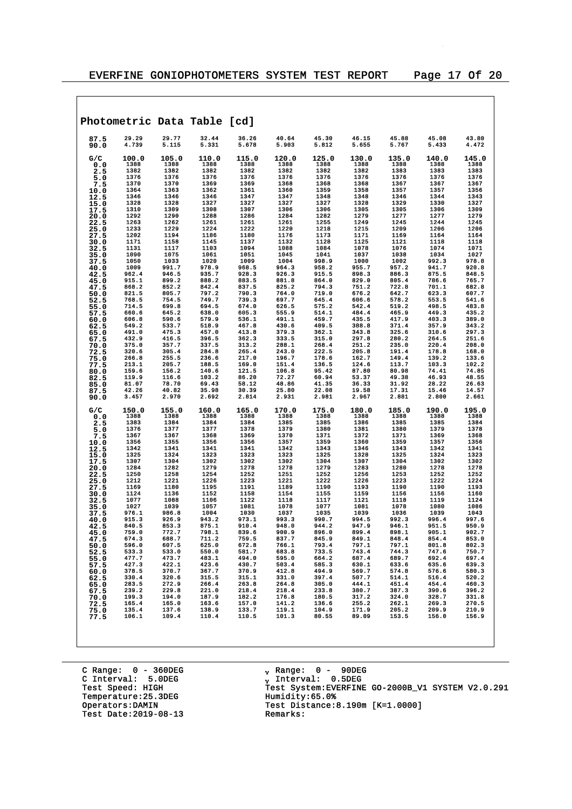|              |                |                | Photometric Data Table [cd]                        |                |                                                                      |                |                |                |                |                |
|--------------|----------------|----------------|----------------------------------------------------|----------------|----------------------------------------------------------------------|----------------|----------------|----------------|----------------|----------------|
| 87.5<br>90.0 | 29.29<br>4.739 | 29.77<br>5.115 | 32.44<br>5.331                                     | 36.26<br>5.678 | 40.64<br>5.903                                                       | 45.30<br>5.812 | 46.15<br>5.655 | 45.88<br>5.767 | 45.08<br>5.433 | 43.80<br>4.472 |
| G/C          | 100.0          | 105.0          | 110.0                                              | 115.0          | 120.0                                                                | 125.0          | 130.0          | 135.0          | 140.0          | 145.0          |
| 0.0<br>2.5   | 1388<br>1382   | 1388<br>1382   | 1388<br>1382                                       | 1388<br>1382   | 1388<br>1382                                                         | 1388<br>1382   | 1388<br>1382   | 1388<br>1383   | 1388<br>1383   | 1388<br>1383   |
| 5.0          | 1376           | 1376           | 1376                                               | 1376           | 1376                                                                 | 1376           | 1376           | 1376           | 1376           | 1376           |
| 7.5          | 1370           | 1370           | 1369                                               | 1369           | 1368                                                                 | 1368           | 1368           | 1367           | 1367           | 1367           |
| 10.0         | 1364           | 1363           | 1362                                               | 1361           | 1360                                                                 | 1359           | 1358           | 1357           | 1357           | 1356           |
| 12.5<br>15.0 | 1346<br>1328   | 1346<br>1328   | 1346<br>1327                                       | 1347<br>1327   | 1347<br>1327                                                         | 1348<br>1327   | 1348<br>1328   | 1346<br>1329   | 1344<br>1330   | 1343<br>1327   |
| 17.5         | 1310           | 1309           | 1308                                               | 1307           | 1306                                                                 | 1306           | 1305           | 1305           | 1306           | 1309           |
| 20.0         | 1292           | 1290           | 1288                                               | 1286           | 1284                                                                 | 1282           | 1279           | 1277           | 1277           | 1279           |
| 22.5         | 1263           | 1262           | 1261                                               | 1261           | 1261                                                                 | 1255           | 1249           | 1245           | 1244           | 1245           |
| 25.0<br>27.5 | 1233<br>1202   | 1229<br>1194   | 1224<br>1186                                       | 1222<br>1180   | 1220<br>1176                                                         | 1218<br>1173   | 1215<br>1171   | 1209<br>1169   | 1206<br>1164   | 1206<br>1164   |
| 30.0         | 1171           | 1158           | 1145                                               | 1137           | 1132                                                                 | 1128           | 1125           | 1121           | 1118           | 1118           |
| 32.5         | 1131           | 1117           | 1103                                               | 1094           | 1088                                                                 | 1084           | 1078           | 1076           | 1074           | 1071           |
| 35.0         | 1090           | 1075           | 1061                                               | 1051           | 1045                                                                 | 1041           | 1037           | 1038           | 1034           | 1027           |
| 37.5<br>40.0 | 1050<br>1009   | 1033<br>991.7  | 1020<br>978.9                                      | 1009<br>968.5  | 1004<br>964.3                                                        | 998.9<br>958.2 | 1000<br>955.7  | 1002<br>957.2  | 992.3<br>941.7 | 978.8<br>920.8 |
| 42.5         | 962.4          | 946.5          | 935.7                                              | 928.3          | 926.3                                                                | 915.5          | 898.3          | 886.3          | 875.5          | 848.5          |
| 45.0         | 915.1          | 899.2          | 888.2                                              | 883.5          | 881.8                                                                | 864.0          | 829.0          | 805.4          | 786.6          | 765.7          |
| 47.5         | 868.2          | 852.2          | 842.4                                              | 837.5          | 825.2                                                                | 794.3          | 751.2          | 722.8          | 701.1          | 682.8          |
| 50.0<br>52.5 | 821.5<br>768.5 | 805.7<br>754.5 | 797.2<br>749.7                                     | 790.3<br>739.3 | 764.0<br>697.7                                                       | 719.0<br>645.4 | 676.2<br>606.6 | 642.7<br>578.2 | 623.3<br>553.5 | 607.7<br>541.6 |
| 55.0         | 714.5          | 699.8          | 694.5                                              | 674.0          | 626.5                                                                | 575.2          | 542.4          | 519.2          | 498.5          | 483.8          |
| 57.5         | 660.6          | 645.2          | 638.0                                              | 605.3          | 555.9                                                                | 514.1          | 484.4          | 465.9          | 449.3          | 435.2          |
| 60.0         | 606.8          | 590.6          | 579.9                                              | 536.1          | 491.1                                                                | 459.7          | 435.5          | 417.9          | 403.3          | 389.0          |
| 62.5<br>65.0 | 549.2<br>491.0 | 533.7<br>475.3 | 518.9<br>457.0                                     | 467.8<br>413.8 | 430.6<br>379.3                                                       | 409.5<br>362.1 | 388.8<br>343.8 | 371.4<br>325.6 | 357.9<br>310.6 | 343.2<br>297.3 |
| 67.5         | 432.9          | 416.5          | 396.5                                              | 362.3          | 333.5                                                                | 315.0          | 297.8          | 280.2          | 264.5          | 251.6          |
| 70.0         | 375.0          | 357.7          | 337.5                                              | 313.2          | 288.1                                                                | 268.4          | 251.2          | 235.0          | 220.4          | 208.0          |
| 72.5         | 320.6          | 305.4          | 284.8                                              | 265.4          | 243.0                                                                | 222.5          | 205.8          | 191.4          | 178.8          | 168.0          |
| 75.0<br>77.5 | 266.8<br>213.1 | 255.5<br>205.7 | 236.6<br>188.5                                     | 217.0<br>169.0 | 196.7<br>151.4                                                       | 178.6<br>136.5 | 162.7<br>124.6 | 149.4<br>113.7 | 139.2<br>103.3 | 133.6<br>102.2 |
| 80.0         | 159.6          | 156.2          | 140.6                                              | 121.5          | 106.8                                                                | 95.42          | 87.80          | 80.98          | 74.41          | 74.85          |
| 82.5         | 119.9          | 116.6          | 103.2                                              | 86.20          | 72.27                                                                | 60.94          | 53.37          | 49.38          | 46.93          | 48.55          |
| 85.0         | 81.07          | 78.70          | 69.43                                              | 58.12          | 48.86                                                                | 41.35          | 36.33          | 31.92          | 28.22          | 26.63          |
| 87.5<br>90.0 | 42.26<br>3.457 | 40.82<br>2.970 | 35.98<br>2.692                                     | 30.39<br>2.814 | 25.80<br>2.931                                                       | 22.08<br>2.981 | 19.58<br>2.967 | 17.31<br>2.881 | 15.46<br>2.800 | 14.57<br>2.661 |
| G/C          | 150.0<br>1388  | 155.0<br>1388  | 160.0<br>1388                                      | 165.0<br>1388  | 170.0<br>1388                                                        | 175.0<br>1388  | 180.0<br>1388  | 185.0<br>1388  | 190.0<br>1388  | 195.0<br>1388  |
| 0.0<br>2.5   | 1383           | 1384           | 1384                                               | 1384           | 1385                                                                 | 1385           | 1386           | 1385           | 1385           | 1384           |
| 5.0          | 1376           | 1377           | 1377                                               | 1378           | 1379                                                                 | 1380           | 1381           | 1380           | 1379           | 1378           |
| 7.5          | 1367           | 1367           | 1368                                               | 1369           | 1370                                                                 | 1371           | 1372           | 1371           | 1369           | 1368           |
| 10.0         | 1356<br>1342   | 1355<br>1341   | 1356<br>1341                                       | 1356<br>1341   | 1357<br>1342                                                         | 1359<br>1343   | 1360<br>1346   | 1359<br>1343   | 1357<br>1342   | 1356<br>1341   |
| 12.5<br>15.0 | 1325           | 1324           | 1323                                               | 1323           | 1323                                                                 | 1325           | 1328           | 1325           | 1324           | 1323           |
| 17.5         | 1307           | 1304           | 1302                                               | 1302           | 1302                                                                 | 1304           | 1307           | 1304           | 1302           | 1302           |
| 20.0         | 1284           | 1282           | 1279                                               | 1278           | 1278                                                                 | 1279           | 1283           | 1280           | 1278           | 1278           |
| 22.5         | 1250<br>1212   | 1258<br>1221   | 1254<br>1226                                       | 1252<br>1223   | 1251<br>1221                                                         | 1252<br>1222   | 1256<br>1226   | 1253<br>1223   | 1252<br>1222   | 1252<br>1224   |
| 25.0<br>27.5 | 1169           | 1180           | 1195                                               | 1191           | 1189                                                                 | 1190           | 1193           | 1190           | 1190           | 1193           |
| 30.0         | 1124           | 1136           | 1152                                               | 1158           | 1154                                                                 | 1155           | 1159           | 1156           | 1156           | 1160           |
| 32.5         | 1077           | 1088           | 1106                                               | 1122           | 1118                                                                 | 1117           | 1121           | 1118           | 1119           | 1124           |
| 35.0         | 1027<br>976.1  | 1039<br>986.8  | 1057<br>1004                                       | 1081<br>1030   | 1078<br>1037                                                         | 1077<br>1035   | 1081<br>1039   | 1078<br>1036   | 1080<br>1039   | 1086<br>1043   |
| 37.5<br>40.0 | 915.3          | 926.9          | 943.2                                              | 973.1          | 993.3                                                                | 990.7          | 994.5          | 992.3          | 996.4          | 997.6          |
| 42.5         | 840.5          | 853.3          | 875.1                                              | 910.4          | 948.0                                                                | 944.2          | 947.9          | 946.1          | 951.5          | 950.9          |
| 45.0         | 759.0          | 772.7          | 798.1                                              | 839.6          | 900.9                                                                | 896.0          | 899.4          | 898.1          | 905.1          | 902.7          |
| 47.5<br>50.0 | 674.3<br>596.0 | 688.7<br>607.5 | 711.2<br>625.0                                     | 759.5<br>672.8 | 837.7<br>766.1                                                       | 845.9<br>793.4 | 849.1<br>797.1 | 848.4<br>797.1 | 854.4<br>801.8 | 853.0<br>802.3 |
| 52.5         | 533.3          | 533.0          | 550.0                                              | 581.7          | 683.8                                                                | 733.5          | 743.4          | 744.3          | 747.6          | 750.7          |
| 55.0         | 477.7          | 473.7          | 483.1                                              | 494.0          | 595.0                                                                | 664.2          | 687.4          | 689.7          | 692.4          | 697.4          |
| 57.5         | 427.3          | 422.1          | 423.6                                              | 430.7          | 503.4                                                                | 585.3          | 630.1          | 633.6          | 635.6          | 639.3          |
| 60.0         | 378.5<br>330.4 | 370.7<br>320.6 | 367.7<br>315.5                                     | 370.9<br>315.1 | 412.8                                                                | 494.9<br>397.4 | 569.7<br>507.7 | 574.8<br>514.1 | 576.6<br>516.4 | 580.3<br>520.2 |
| 62.5<br>65.0 | 283.5          | 272.9          | 266.4                                              | 263.8          |                                                                      | 305.0          | 444.1          | 451.4          | 454.4          | 460.3          |
| 67.5         | 239.2          | 229.8          | 221.0                                              | 218.4          |                                                                      | 233.8          | 380.7          | 387.3          | 390.6          | 396.2          |
| 70.0         | 199.3          | 194.0          |                                                    | 182.2          |                                                                      | 180.5          | 317.2          | 324.0          | 328.7          | 331.8          |
| 72.5<br>75.0 | 165.4<br>135.4 | 165.0<br>137.6 |                                                    | 157.0<br>133.7 |                                                                      | 136.6<br>104.9 | 255.2<br>171.9 | 262.1<br>205.2 | 269.3<br>209.9 | 270.5<br>210.9 |
| 77.5         | 106.1          | 109.4          | 221.0<br>187.9<br>163.6<br>138.9<br>110.4<br>110.4 | 110.5          | 114.8<br>331.0<br>264.8<br>218.4<br>176.8<br>141.2<br>119.1<br>101.3 | 80.55          | 89.09          | 153.5          | 156.0          | 156.9          |
|              |                |                |                                                    |                |                                                                      |                |                |                |                |                |

C Range: 0 - 360DEG C Interval: 5.0DEG Temperature: 25.3DEG<br>Operators:DAMIN Test Date:  $2019-08-13$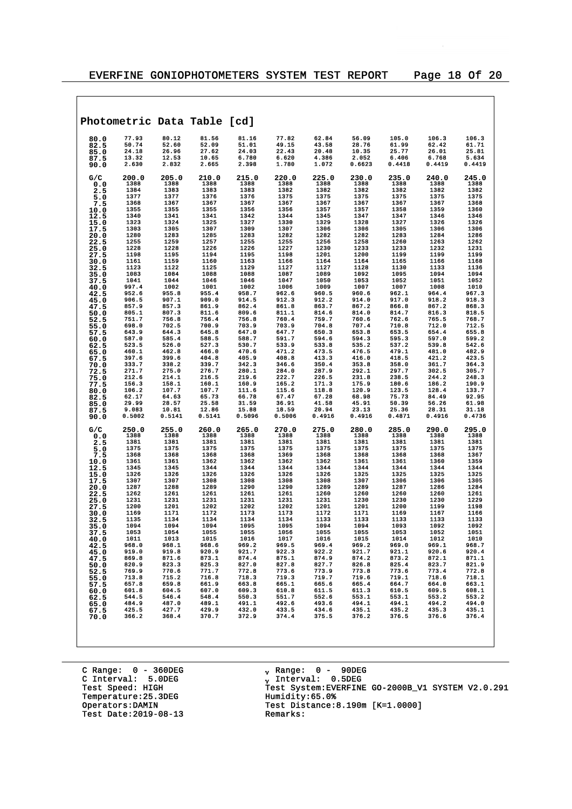|              |                 |                 | Photometric Data Table [cd] |                 |                 |                 |                 |                 |                 |                 |
|--------------|-----------------|-----------------|-----------------------------|-----------------|-----------------|-----------------|-----------------|-----------------|-----------------|-----------------|
| 80.0         | 77.93           | 80.12           | 81.56                       | 81.16           | 77.82           | 62.84           | 56.09           | 105.0           | 106.3           | 106.3           |
| 82.5         | 50.74           | 52.60           | 52.09                       | 51.01           | 49.15           | 43.58           | 28.76           | 61.99           | 62.42           | 61.71           |
| 85.0<br>87.5 | 24.18<br>13.32  | 26.96<br>12.53  | 27.62<br>10.65              | 24.03<br>6.780  | 22.43<br>6.620  | 20.48<br>4.386  | 10.35<br>2.052  | 25.77<br>6.406  | 26.01<br>6.768  | 25.81<br>5.634  |
| 90.0         | 2.630           | 2.832           | 2.665                       | 2.398           | 1.780           | 1.072           | 0.6623          | 0.4418          | 0.4419          | 0.4419          |
| G/C          | 200.0           | 205.0           | 210.0                       | 215.0           | 220.0           | 225.0           | 230.0           | 235.0           | 240.0           | 245.0           |
| 0.0<br>2.5   | 1388<br>1384    | 1388<br>1383    | 1388<br>1383                | 1388<br>1383    | 1388<br>1382    | 1388<br>1382    | 1388<br>1382    | 1388<br>1382    | 1388<br>1382    | 1388<br>1382    |
| 5.0          | 1377            | 1377            | 1376                        | 1376            | 1375            | 1375            | 1375            | 1375            | 1375            | 1375            |
| 7.5          | 1368            | 1367            | 1367                        | 1367            | 1367            | 1367            | 1367            | 1367            | 1367            | 1368            |
| 10.0<br>12.5 | 1355<br>1340    | 1355<br>1341    | 1355<br>1341                | 1356<br>1342    | 1356<br>1344    | 1357<br>1345    | 1357<br>1347    | 1358<br>1347    | 1359<br>1346    | 1360<br>1346    |
| 15.0         | 1323            | 1324            | 1325                        | 1327            | 1330            | 1329            | 1328            | 1327            | 1326            | 1326            |
| 17.5         | 1303<br>1280    | 1305<br>1283    | 1307<br>1285                | 1309<br>1283    | 1307<br>1282    | 1306<br>1282    | 1306<br>1282    | 1305<br>1283    | 1306<br>1284    | 1306<br>1286    |
| 20.0<br>22.5 | 1255            | 1259            | 1257                        | 1255            | 1255            | 1256            | 1258            | 1260            | 1263            | 1262            |
| 25.0         | 1228            | 1228            | 1226                        | 1226            | 1227            | 1230            | 1233            | 1233            | 1232            | 1231            |
| 27.5         | 1198<br>1161    | 1195<br>1159    | 1194<br>1160                | 1195<br>1163    | 1198<br>1166    | 1201<br>1164    | 1200<br>1164    | 1199<br>1165    | 1199<br>1166    | 1199<br>1168    |
| 30.0<br>32.5 | 1123            | 1122            | 1125                        | 1129            | 1127            | 1127            | 1128            | 1130            | 1133            | 1136            |
| 35.0         | 1083            | 1084            | 1088                        | 1088            | 1087            | 1089            | 1092            | 1095            | 1094            | 1094            |
| 37.5         | 1041<br>997.4   | 1044<br>1002    | 1046<br>1001                | 1046<br>1002    | 1047<br>1006    | 1050<br>1009    | 1053<br>1007    | 1052<br>1007    | 1051<br>1008    | 1052<br>1010    |
| 40.0<br>42.5 | 952.6           | 955.8           | 955.4                       | 958.7           | 962.6           | 960.5           | 960.6           | 962.1           | 964.4           | 967.3           |
| 45.0         | 906.5           | 907.1           | 909.0                       | 914.5           | 912.3           | 912.2           | 914.0           | 917.0           | 918.2           | 918.3           |
| 47.5         | 857.9<br>805.1  | 857.3<br>807.3  | 861.9<br>811.6              | 862.4<br>809.6  | 861.8<br>811.1  | 863.7<br>814.6  | 867.2<br>814.0  | 866.8<br>814.7  | 867.2<br>816.3  | 868.3<br>818.5  |
| 50.0<br>52.5 | 751.7           | 756.8           | 756.4                       | 756.8           | 760.4           | 759.7           | 760.6           | 762.6           | 765.5           | 768.7           |
| 55.0         | 698.0           | 702.5           | 700.9                       | 703.9           | 703.9           | 704.8           | 707.4           | 710.8           | 712.0           | 712.5           |
| 57.5         | 643.9<br>587.0  | 644.3<br>585.4  | 645.8<br>588.5              | 647.0<br>588.7  | 647.7<br>591.7  | 650.3<br>594.6  | 653.8<br>594.3  | 653.5<br>595.3  | 654.4<br>597.0  | 655.8<br>599.2  |
| 60.0<br>62.5 | 523.5           | 526.0           | 527.3                       | 530.7           | 533.9           | 533.8           | 535.2           | 537.2           | 539.8           | 542.6           |
| 65.0         | 460.1           | 462.8           | 466.0                       | 470.6           | 471.2           | 473.5           | 476.5           | 479.1           | 481.0           | 482.9           |
| 67.5<br>70.0 | 397.6<br>333.7  | 399.6<br>338.2  | 404.8<br>339.7              | 405.9<br>342.3  | 408.8<br>346.6  | 413.3<br>350.4  | 416.0<br>353.8  | 418.5<br>358.0  | 421.2<br>361.7  | 423.5<br>364.3  |
| 72.5         | 271.7           | 275.0           | 276.7                       | 280.1           | 284.0           | 287.9           | 292.1           | 297.7           | 302.5           | 305.7           |
| 75.0         | 212.6           | 214.1           | 216.5                       | 219.6           | 222.7           | 226.5           | 231.8           | 238.5           | 244.2           | 248.3           |
| 77.5<br>80.0 | 156.3<br>106.2  | 158.1<br>107.7  | 160.1<br>107.7              | 160.9<br>111.6  | 165.2<br>115.6  | 171.3<br>118.8  | 175.9<br>120.9  | 180.6<br>123.5  | 186.2<br>128.4  | 190.9<br>133.7  |
| 82.5         | 62.17           | 64.63           | 65.73                       | 66.78           | 67.47           | 67.28           | 68.98           | 75.73           | 84.49           | 92.95           |
| 85.0         | 29.99           | 28.57           | 25.58                       | 31.59           | 36.91           | 41.58           | 45.91           | 50.39           | 56.26           | 61.98           |
| 87.5<br>90.0 | 9.083<br>0.5002 | 10.81<br>0.5141 | 12.86<br>0.5141             | 15.88<br>0.5096 | 18.59<br>0.5006 | 20.94<br>0.4916 | 23.13<br>0.4916 | 25.36<br>0.4871 | 28.31<br>0.4916 | 31.18<br>0.4736 |
| G/C          | 250.0           | 255.0           | 260.0                       | 265.0           | 270.0           | 275.0           | 280.0           | 285.0           | 290.0           | 295.0           |
| 0.0          | 1388<br>1381    | 1388<br>1381    | 1388<br>1381                | 1388<br>1381    | 1388<br>1381    | 1388<br>1381    | 1388<br>1381    | 1388<br>1381    | 1388<br>1381    | 1388<br>1381    |
| 2.5<br>5.0   | 1375            | 1375            | 1375                        | 1375            | 1375            | 1375            | 1375            | 1375            | 1375            | 1375            |
| 7.5          | 1368            | 1368            | 1368                        | 1368            | 1369            | 1368            | 1368            | 1368            | 1368            | 1367            |
| 10.0         | 1361<br>1345    | 1361<br>1345    | 1362<br>1344                | 1362<br>1344    | 1362<br>1344    | 1362<br>1344    | 1361<br>1344    | 1361<br>1344    | 1360<br>1344    | 1359<br>1344    |
| 12.5<br>15.0 | 1326            | 1326            | 1326                        | 1326            | 1326            | 1326            | 1325            | 1325            | 1325            | 1325            |
| 17.5         | 1307            | 1307            | 1308                        | 1308            | 1308            | 1308            | 1307            | 1306            | 1306            | 1305            |
| 20.0<br>22.5 | 1287<br>1262    | 1288<br>1261    | 1289<br>1261                | 1290<br>1261    | 1290<br>1261    | 1289<br>1260    | 1289<br>1260    | 1287<br>1260    | 1286<br>1260    | 1284<br>1261    |
| 25.0         | 1231            | 1231            | 1231                        | 1231            | 1231            | 1231            | 1230            | 1230            | 1230            | 1229            |
| 27.5         | 1200            | 1201            | 1202                        | 1202            | 1202            | 1201            | 1201            | 1200            | 1199            | 1198            |
| 30.0<br>32.5 | 1169<br>1135    | 1171<br>1134    | 1172<br>1134                | 1173<br>1134    | 1173<br>1134    | 1172<br>1133    | 1171<br>1133    | 1169<br>1133    | 1167<br>1133    | 1166<br>1133    |
| 35.0         | 1094            | 1094            | 1094                        | 1095            | 1095            | 1094            | 1094            | 1093            | 1092            | 1092            |
| 37.5         | 1053<br>1011    | 1054            | 1055                        | 1055            | 1056            | 1055            | 1055            | 1053            | 1052<br>1012    | 1051            |
| 40.0<br>42.5 | 968.0           | 1013<br>968.1   | 1015<br>968.6               | 1016<br>969.2   | 1017<br>969.5   | 1016<br>969.4   | 1015<br>969.2   | 1014<br>969.0   | 969.1           | 1010<br>968.7   |
| 45.0         | 919.0           | 919.8           | 920.9                       | 921.7           | 922.3           | 922.2           | 921.7           | 921.1           | 920.6           | 920.4           |
| 47.5         | 869.8<br>820.9  | 871.6<br>823.3  | 873.1<br>825.3              | 874.4<br>827.0  | 875.1<br>827.8  | 874.9<br>827.7  | 874.2<br>826.8  | 873.2<br>825.4  | 872.1<br>823.7  | 871.1<br>821.9  |
| 50.0<br>52.5 | 769.9           | 770.6           | 771.7                       | 772.8           | 773.6           | 773.9           | 773.8           | 773.6           | 773.4           | 772.8           |
| 55.0         | 713.8           | 715.2           | 716.8                       | 718.3           | 719.3           | 719.7           | 719.6           | 719.1           | 718.6           | 718.1           |
| 57.5         | 657.8<br>601.8  | 659.8<br>604.5  | 661.9<br>607.0              | 663.8<br>609.3  | 665.1<br>610.8  | 665.6<br>611.5  | 665.4<br>611.3  | 664.7<br>610.5  | 664.0<br>609.5  | 663.1<br>608.1  |
| 60.0<br>62.5 | 544.5           | 546.4           | 548.4                       | 550.3           | 551.7           | 552.6           | 553.1           | 553.1           | 553.2           | 553.2           |
| 65.0         | 484.9           | 487.0           | 489.1                       | 491.1           | 492.6           | 493.6           | 494.1           | 494.1           | 494.2           | 494.0           |
| 67.5         | 425.5<br>366.2  | 427.7<br>368.4  | 429.9<br>370.7              | 432.0<br>372.9  | 433.5<br>374.4  | 434.6<br>375.5  | 435.1<br>376.2  | 435.2<br>376.5  | 435.3<br>376.6  | 435.1<br>376.4  |
| 70.0         |                 |                 |                             |                 |                 |                 |                 |                 |                 |                 |
|              |                 |                 |                             |                 |                 |                 |                 |                 |                 |                 |

C Range: 0 - 360DEG C Interval: 5.0DEG Temperature: 25.3DEG<br>Operators:DAMIN Test Date:  $2019-08-13$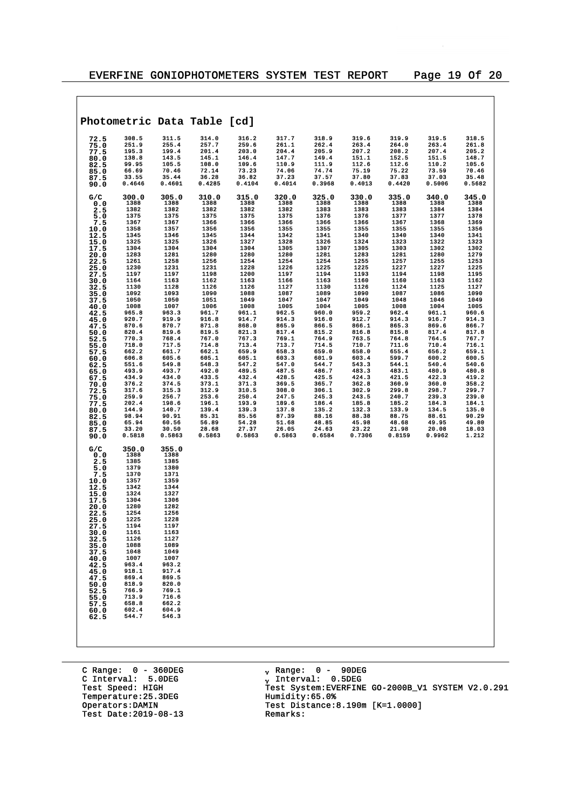$\overline{\phantom{a}}$ 

|              |                 |                 | Photometric Data Table [cd] |                 |                 |                 |                 |                 |                 |                |
|--------------|-----------------|-----------------|-----------------------------|-----------------|-----------------|-----------------|-----------------|-----------------|-----------------|----------------|
| 72.5         | 308.5           | 311.5           | 314.0                       | 316.2           | 317.7           | 318.9           | 319.6           | 319.9           | 319.5           | 318.5          |
| 75.0         | 251.9           | 255.4           | 257.7                       | 259.6           | 261.1           | 262.4           | 263.4           | 264.0           | 263.4           | 261.8          |
| 77.5         | 195.3           | 199.4           | 201.4                       | 203.0           | 204.4           | 205.9           | 207.2           | 208.2           | 207.4           | 205.2          |
| 80.0<br>82.5 | 138.8<br>99.95  | 143.5<br>105.5  | 145.1<br>108.0              | 146.4<br>109.6  | 147.7<br>110.9  | 149.4<br>111.9  | 151.1<br>112.6  | 152.5<br>112.6  | 151.5<br>110.2  | 148.7<br>105.6 |
| 85.0         | 66.69           | 70.46           | 72.14                       | 73.23           | 74.06           | 74.74           | 75.19           | 75.22           | 73.59           | 70.46          |
| 87.5         | 33.55           | 35.44           | 36.28                       | 36.82           | 37.23           | 37.57           | 37.80           | 37.83           | 37.03           | 35.48          |
| 90.0         | 0.4646          | 0.4601          | 0.4285                      | 0.4104          | 0.4014          | 0.3968          | 0.4013          | 0.4420          | 0.5006          | 0.5682         |
| G/C          | 300.0           | 305.0           | 310.0                       | 315.0           | 320.0           | 325.0           | 330.0           | 335.0           | 340.0           | 345.0          |
| 0.0<br>2.5   | 1388<br>1382    | 1388<br>1382    | 1388<br>1382                | 1388<br>1382    | 1388<br>1382    | 1388<br>1383    | 1388<br>1383    | 1388<br>1383    | 1388<br>1384    | 1388<br>1384   |
| 5.0          | 1375            | 1375            | 1375                        | 1375            | 1375            | 1376            | 1376            | 1377            | 1377            | 1378           |
| 7.5          | 1367            | 1367            | 1366                        | 1366            | 1366            | 1366            | 1366            | 1367            | 1368            | 1369           |
| 10.0<br>12.5 | 1358<br>1345    | 1357<br>1346    | 1356<br>1345                | 1356<br>1344    | 1355<br>1342    | 1355<br>1341    | 1355<br>1340    | 1355<br>1340    | 1355<br>1340    | 1356<br>1341   |
| 15.0         | 1325            | 1325            | 1326                        | 1327            | 1328            | 1326            | 1324            | 1323            | 1322            | 1323           |
| 17.5         | 1304            | 1304            | 1304                        | 1304            | 1305            | 1307            | 1305            | 1303            | 1302            | 1302           |
| 20.0<br>22.5 | 1283<br>1261    | 1281<br>1258    | 1280<br>1256                | 1280<br>1254    | 1280<br>1254    | 1281<br>1254    | 1283<br>1255    | 1281<br>1257    | 1280<br>1255    | 1279<br>1253   |
| 25.0         | 1230            | 1231            | 1231                        | 1228            | 1226            | 1225            | 1225            | 1227            | 1227            | 1225           |
| 27.5         | 1197            | 1197            | 1198                        | 1200            | 1197            | 1194            | 1193            | 1194            | 1198            | 1195           |
| 30.0<br>32.5 | 1164<br>1130    | 1163<br>1128    | 1162<br>1126                | 1163<br>1126    | 1166<br>1127    | 1163<br>1130    | 1160<br>1126    | 1160<br>1124    | 1163<br>1125    | 1162<br>1127   |
| 35.0         | 1092            | 1093            | 1090                        | 1088            | 1087            | 1089            | 1090            | 1087            | 1086            | 1090           |
| 37.5         | 1050            | 1050            | 1051                        | 1049            | 1047            | 1047            | 1049            | 1048            | 1046            | 1049           |
| 40.0<br>42.5 | 1008<br>965.8   | 1007<br>963.3   | 1006<br>961.7               | 1008<br>961.1   | 1005<br>962.5   | 1004<br>960.0   | 1005<br>959.2   | 1008<br>962.4   | 1004<br>961.1   | 1005<br>960.6  |
| 45.0         | 920.7           | 919.9           | 916.8                       | 914.7           | 914.3           | 916.0           | 912.7           | 914.3           | 916.7           | 914.3          |
| 47.5         | 870.6           | 870.7           | 871.8                       | 868.0           | 865.9           | 866.5           | 866.1           | 865.3           | 869.6           | 866.7          |
| 50.0<br>52.5 | 820.4<br>770.3  | 819.6<br>768.4  | 819.5<br>767.0              | 821.3<br>767.3  | 817.4<br>769.1  | 815.2<br>764.9  | 816.8<br>763.5  | 815.8<br>764.8  | 817.4<br>764.5  | 817.8<br>767.7 |
| 55.0         | 718.0           | 717.5           | 714.8                       | 713.4           | 713.7           | 714.5           | 710.7           | 711.6           | 710.4           | 716.1          |
| 57.5         | 662.2           | 661.7           | 662.1                       | 659.9           | 658.3           | 659.0           | 658.0           | 655.4           | 656.2           | 659.1          |
| 60.0<br>62.5 | 606.8<br>551.6  | 605.6<br>549.8  | 605.1<br>548.3              | 605.1<br>547.2  | 603.3<br>547.0  | 601.9<br>544.7  | 603.4<br>543.3  | 599.7<br>544.1  | 600.2<br>540.4  | 600.5<br>540.6 |
| 65.0         | 493.9           | 493.7           | 492.0                       | 489.5           | 487.5           | 486.7           | 483.3           | 483.1           | 480.9           | 480.8          |
| 67.5         | 434.9<br>376.2  | 434.0<br>374.5  | 433.5<br>373.1              | 432.4<br>371.3  | 428.5<br>369.5  | 425.5<br>365.7  | 424.3           | 421.5<br>360.9  | 422.3<br>360.0  | 419.2<br>358.2 |
| 70.0<br>72.5 | 317.6           | 315.3           | 312.9                       | 310.5           | 308.0           | 306.1           | 362.8<br>302.9  | 299.8           | 298.7           | 299.7          |
| 75.0         | 259.9           | 256.7           | 253.6                       | 250.4           | 247.5           | 245.3           | 243.5           | 240.7           | 239.3           | 239.0          |
| 77.5<br>80.0 | 202.4<br>144.9  | 198.6<br>140.7  | 196.1<br>139.4              | 193.9<br>139.3  | 189.6<br>137.8  | 186.4<br>135.2  | 185.8<br>132.3  | 185.2<br>133.9  | 184.3<br>134.5  | 184.1<br>135.0 |
| 82.5         | 98.94           | 90.91           | 85.31                       | 85.56           | 87.39           | 88.16           | 88.38           | 88.75           | 88.61           | 90.29          |
| 85.0         | 65.94           | 60.56           | 56.89                       | 54.28           | 51.68           | 48.85           | 45.98           | 48.68           | 49.95           | 49.80          |
| 87.5<br>90.0 | 33.20<br>0.5818 | 30.50<br>0.5863 | 28.68<br>0.5863             | 27.37<br>0.5863 | 26.05<br>0.5863 | 24.63<br>0.6584 | 23.22<br>0.7306 | 21.98<br>0.8159 | 20.08<br>0.9962 | 18.03<br>1.212 |
|              |                 |                 |                             |                 |                 |                 |                 |                 |                 |                |
| G/C<br>0.0   | 350.0<br>1388   | 355.0<br>1388   |                             |                 |                 |                 |                 |                 |                 |                |
| 2.5          | 1385            | 1385            |                             |                 |                 |                 |                 |                 |                 |                |
| 5.0          | 1379            | 1380            |                             |                 |                 |                 |                 |                 |                 |                |
| 7.5          | 1370<br>1357    | 1371<br>1359    |                             |                 |                 |                 |                 |                 |                 |                |
| 10.0<br>12.5 | 1342            | 1344            |                             |                 |                 |                 |                 |                 |                 |                |
| 15.0         | 1324            | 1327            |                             |                 |                 |                 |                 |                 |                 |                |
| 17.5<br>20.0 | 1304<br>1280    | 1306<br>1282    |                             |                 |                 |                 |                 |                 |                 |                |
| 22.5         | 1254            | 1256            |                             |                 |                 |                 |                 |                 |                 |                |
| 25.0         | 1225            | 1228            |                             |                 |                 |                 |                 |                 |                 |                |
| 27.5<br>30.0 | 1194<br>1161    | 1197<br>1163    |                             |                 |                 |                 |                 |                 |                 |                |
| 32.5         | 1126            | 1127            |                             |                 |                 |                 |                 |                 |                 |                |
| 35.0         | 1088<br>1048    | 1089<br>1049    |                             |                 |                 |                 |                 |                 |                 |                |
| 37.5<br>40.0 | 1007            | 1007            |                             |                 |                 |                 |                 |                 |                 |                |
| 42.5         | 963.4           | 963.2           |                             |                 |                 |                 |                 |                 |                 |                |
| 45.0         | 918.1<br>869.4  | 917.4<br>869.5  |                             |                 |                 |                 |                 |                 |                 |                |
| 47.5<br>50.0 | 818.9           | 820.0           |                             |                 |                 |                 |                 |                 |                 |                |
| 52.5         | 766.9           | 769.1           |                             |                 |                 |                 |                 |                 |                 |                |
| 55.0<br>57.5 | 713.9<br>658.8  | 716.6<br>662.2  |                             |                 |                 |                 |                 |                 |                 |                |
| 60.0         | 602.4           | 604.9           |                             |                 |                 |                 |                 |                 |                 |                |
| 62.5         | 544.7           | 546.3           |                             |                 |                 |                 |                 |                 |                 |                |
|              |                 |                 |                             |                 |                 |                 |                 |                 |                 |                |
|              |                 |                 |                             |                 |                 |                 |                 |                 |                 |                |
|              |                 |                 |                             |                 |                 |                 |                 |                 |                 |                |

C Range: 0 - 360DEG C Interval: 5.0DEG Test Speed: HIGH<br>Temperature:25.3DEG<br>Operators:DAMIN Test Date:  $2019-08-13$